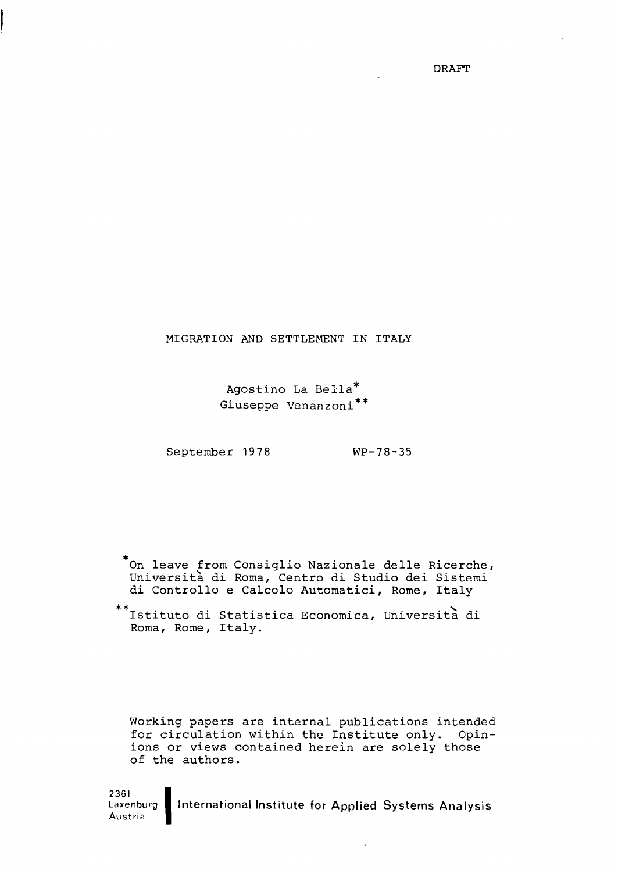DRAFT

## MIGRATION AND SETTLEMENT IN ITALY

Agostino La Bella\* Giuseppe Venanzoni\*\*

September 1978 WP-78-35

\*On leave from Consiglio Nazionale delle Ricerche, Universita di Roma, Centro di Studio dei Sistemi di Controllo <sup>e</sup> Calcolo Automatici, Rome, Italy

Istituto di Statistica Economica, Universita di Roma, Rome, Italy.

Working papers are internal publications intended for circulation within the Institute only. Opinions or views contained herein are solely those of the authors.

2361<br>Laxenburg | International Institute for Applied Systems Analysis Austria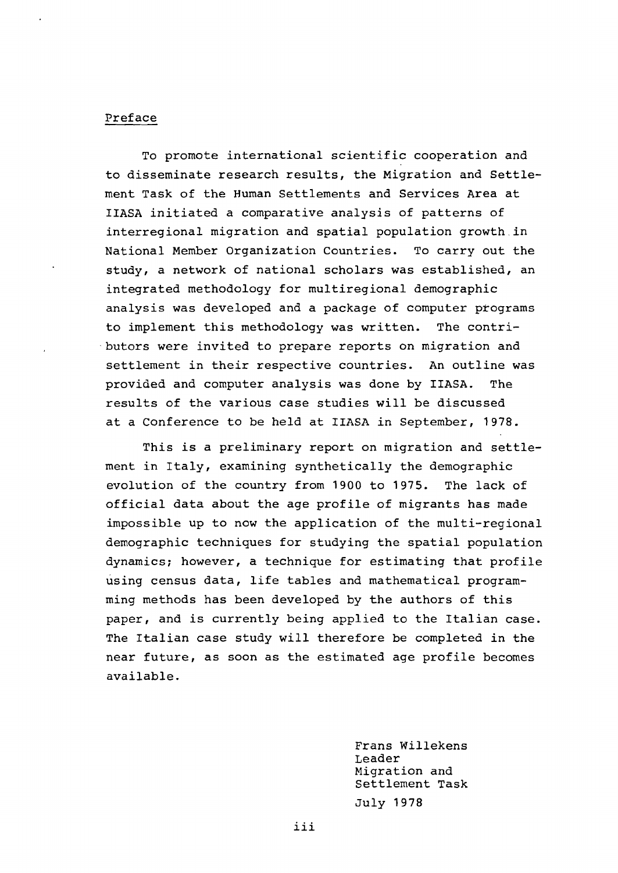# Preface

To promote international scientific cooperation and to disseminate research results, the Migration and Settlement Task of the Human Settlements and Services Area at IIASA initiated <sup>a</sup> comparative analysis of patterns of interregional migration and spatial population growth.in National Member Organization Countries. To carry out the study, a network of national scholars was established, an integrated methodology for multiregional demographic analysis was developed and a package of computer programs to implement this methodology was written. The contri- 'butors were invited to prepare reports on migration and settlement in their respective countries. An outline was provided and computer analysis was done by IIASA. The results of the various case studies will be discussed at <sup>a</sup> Conference to be held at IIASA in September, 1978.

This is <sup>a</sup> preliminary report on migration and settlement in Italy, examining synthetically the demographic evolution of the country from 1900 to 1975. The lack of official data about the age profile of migrants has made impossible up to now the application of the multi-regional demographic techniques for studying the spatial population dynamics; however, <sup>a</sup> technique for estimating that profile using census data, life tables and mathematical programming methods has been developed by the authors of this paper, and is currently being applied to the Italian case. The Italian case study will therefore be completed in the near future, as soon as the estimated age profile becomes available.

> Frans Willekens Leader Migration and Settlement Task July 1978

*iii*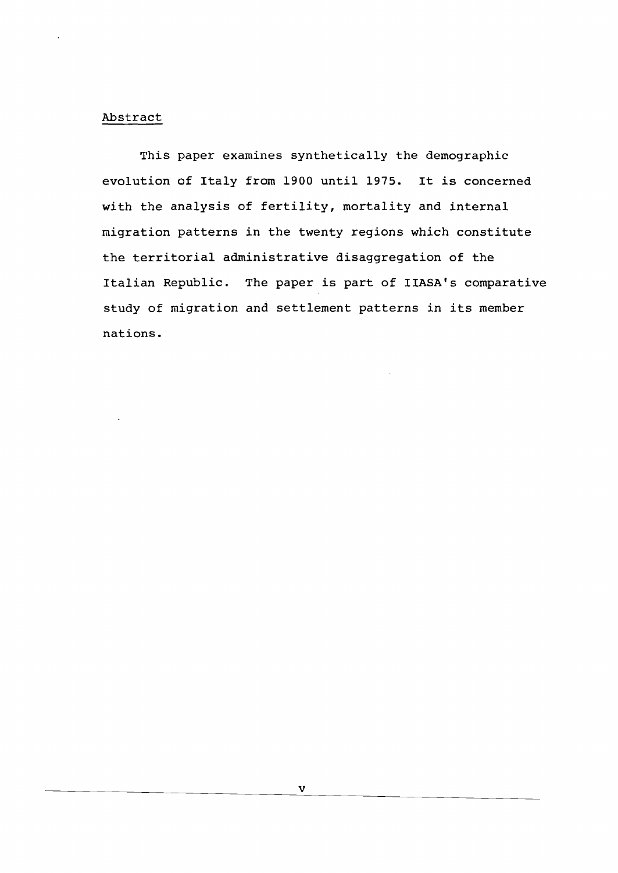## Abstract

This paper examines synthetically the demographic evolution of Italy from <sup>1900</sup> until 1975. It is concerned with the analysis of fertility, mortality and internal migration patterns in the twenty regions which constitute the territorial administrative disaggregation of the Italian Republic. The paper is part of IIASA's comparative study of migration and settlement patterns in its member nations.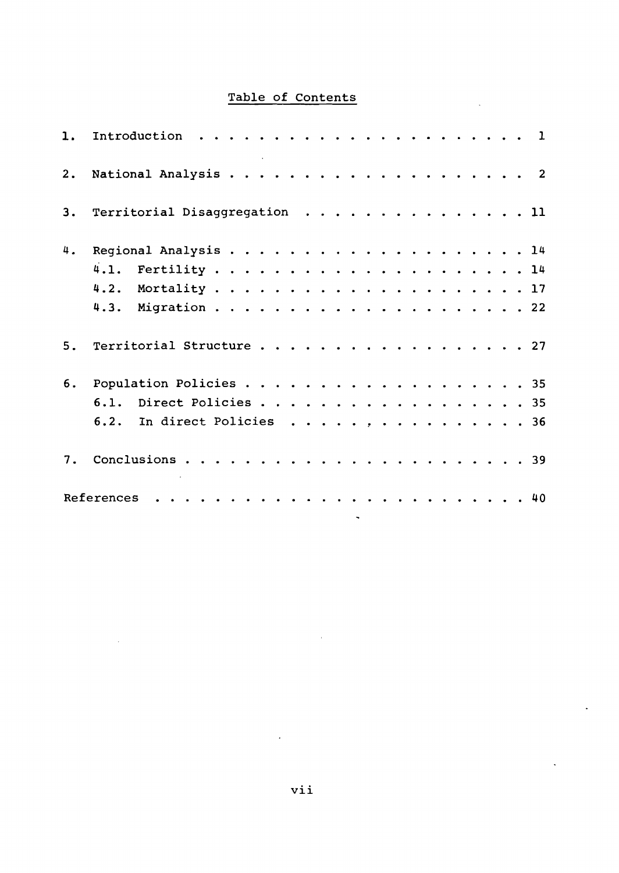# Table of Contents

 $\bar{\mathcal{A}}$ 

 $\ddot{\phantom{a}}$ 

 $\mathcal{A}$ 

| 1. | Introduction.                 | . <b>.</b> . |  |  |  |  |  |  | $\mathbf{1}$ |
|----|-------------------------------|--------------|--|--|--|--|--|--|--------------|
| 2. |                               |              |  |  |  |  |  |  |              |
| 3. | Territorial Disaggregation 11 |              |  |  |  |  |  |  |              |
| 4. |                               |              |  |  |  |  |  |  |              |
|    |                               |              |  |  |  |  |  |  |              |
|    |                               |              |  |  |  |  |  |  |              |
|    |                               |              |  |  |  |  |  |  |              |
| 5. | Territorial Structure 27      |              |  |  |  |  |  |  |              |
| 6. | Population Policies 35        |              |  |  |  |  |  |  |              |
|    | 6.1. Direct Policies 35       |              |  |  |  |  |  |  |              |
|    | In direct Policies 36<br>6.2. |              |  |  |  |  |  |  |              |
| 7. |                               |              |  |  |  |  |  |  |              |
|    |                               |              |  |  |  |  |  |  |              |

 $\bar{\mathcal{A}}$ 

 $\sim 10^{11}$ 

 $\sim$ 

 $\sim$   $\sim$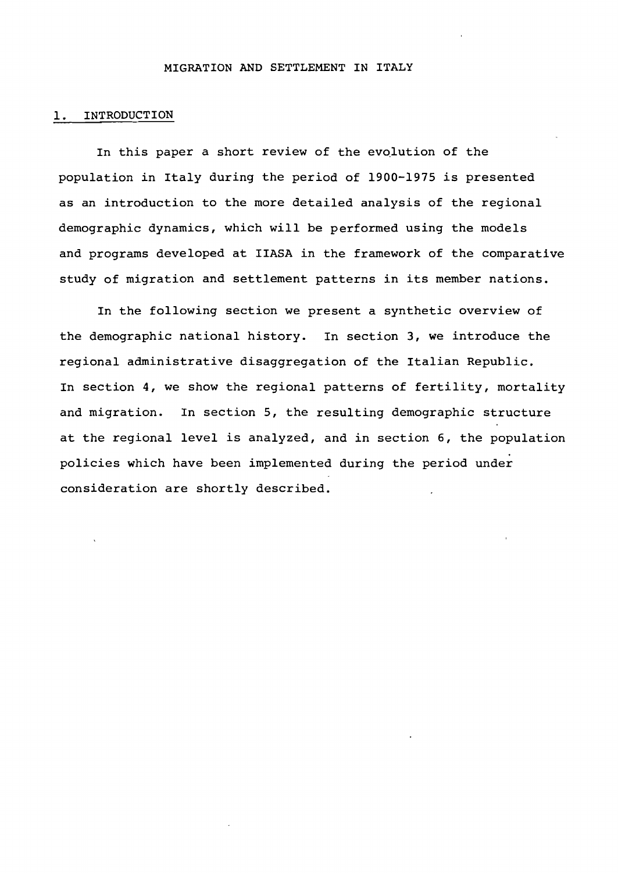### MIGRATION AND SETTLEMENT IN ITALY

### 1. INTRODUCTION

In this paper a short review of the evolution of the population in Italy during the period of 1900-1975 is presented as an introduction to the more detailed analysis of the regional demographic dynamics, which will be performed using the models and programs developed at IIASA in the framework of the comparative study of migration and settlement patterns in its member nations.

In the following section we present a synthetic overview of the demographic national history. In section 3, we introduce the regional administrative disaggregation of the Italian Republic. In section 4, we show the regional patterns of fertility, mortality and migration. In section 5, the resulting demographic structure at the regional level is analyzed, and in section 6, the population policies which have been implemented during the period under consideration are shortly described.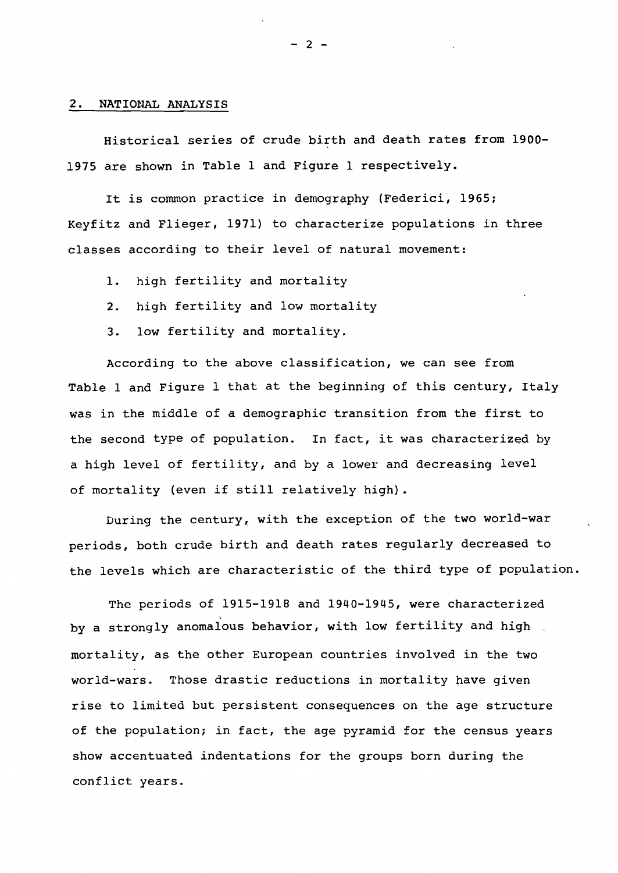#### 2. NATIONAL ANALYSIS

Historical series of crude birth and death rates from 1900- 1975 are shown in Table 1 and Figure 1 respectively.

It is common practice in demography (Federici, 1965; Keyfitz and Flieger, 1971) to characterize populations in three classes according to their level of natural movement:

- 1. high fertility and mortality
- 2. high fertility and low mortality
- 3. low fertility and mortality.

According to the above classification, we can see from Table <sup>1</sup> and Figure <sup>1</sup> that at the beginning of this century, Italy was in the middle of <sup>a</sup> demographic transition from the first to the second type of population. In fact, it was characterized by <sup>a</sup> high level of fertility, and by <sup>a</sup> lower and decreasing level of mortality (even if still relatively high) .

During the century, with the exception of the two world-war periods, both crude birth and death rates regularly decreased to the levels which are characteristic of the third type of population.

The periods of 1915-1918 and 1940-1945, were characterized by <sup>a</sup> strongly anomalous behavior, with low fertility and high \_ mortality, as the other European countries involved in the two world-wars. Those drastic reductions in mortality have given rise to limited but persistent consequences on the age structure of the population; in fact, the age pyramid for the census years show accentuated indentations for the groups born during the conflict years.

 $- 2 -$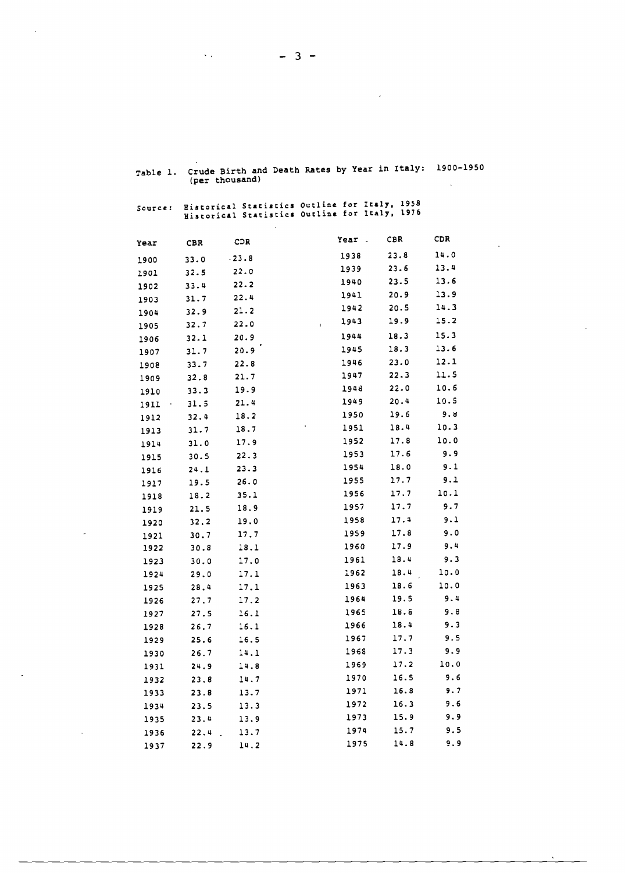| ,av.c   | (per thousand) |       |                                                                                                |              |            |
|---------|----------------|-------|------------------------------------------------------------------------------------------------|--------------|------------|
| Source: |                |       | Historical Statistics Outline for Italy, 1958<br>Historical Statistics Outline for Italy, 1976 |              |            |
| Year    | CBR            | CDR   | Year .                                                                                         | CBR          | CDR.       |
| 1900    | 33.0           | .23.8 | 1938                                                                                           | 23.8         | 14.0       |
| 1901    | 32.5           | 22.0  | 1939                                                                                           | 23.6         | 13.4       |
| 1902    | 33.4           | 22.2  | 1940                                                                                           | 23.5         | 13.6       |
| 1903    | 31.7           | 22.4  | 1941                                                                                           | 20.9         | 13.9       |
| 1904    | 32.9           | 21.2  | 1942                                                                                           | 20.5         | 14.3       |
| 1905    | 32.7           | 22.0  | 1943<br>$\bar{\mathbf{I}}$                                                                     | 19.9         | 15.2       |
| 1906    | 32.1           | 20.9  | 1944                                                                                           | 18.3         | 15.3       |
| 1907    | 31.7           | 20.9  | 1945                                                                                           | 18.3         | 13.6       |
| 1908    | 33.7           | 22.8  | 1946                                                                                           | 23.0         | 12.1       |
| 1909    | 32.8           | 21.7  | 1947                                                                                           | 22.3         | 11.5       |
| 1910    | 33.3           | 19.9  | 1948                                                                                           | 22.0         | 10.6       |
| 1911    | 31.5           | 21.4  | 1949                                                                                           | 20.4         | 10.5       |
| 1912    | 32.4           | 18.2  | 1950                                                                                           | 19.6         | 9. U       |
| 1913    | 31.7           | 18.7  | 1951                                                                                           | 18.4         | 10.3       |
| 1914    | 31.0           | 17.9  | 1952                                                                                           | 17.8         | 10.0       |
| 1915    | 30.5           | 22.3  | 1953                                                                                           | 17.6         | 9.9        |
| 1916    | 24.1           | 23.3  | 1954                                                                                           | 18.0         | 9.1        |
| 1917    | 19.5           | 26.0  | 1955                                                                                           | 17.7         | 9.1        |
| 1918    | 18.2           | 35.1  | 1956                                                                                           | 17.7         | 10.1       |
| 1919    | 21.5           | 18.9  | 1957                                                                                           | 17.7         | 9.7        |
| 1920    | 32.2           | 19.0  | 1958                                                                                           | 17.4         | 9.1        |
| 1921    | 30.7           | 17.7  | 1959                                                                                           | 17.8         | 9.0        |
| 1922    | 30.8           | 18.1  | 1960                                                                                           | 17.9         | 9.4        |
| 1923    | 30.0           | 17.0  | 1961                                                                                           | 18.4         | 9.3        |
| 1924    | 29.0           | 17.1  | 1962                                                                                           | 18.4         | 10.0       |
| 1925    | 28.4           | 17.1  | 1963                                                                                           | 18.6         | 10.0       |
| 1926    | 27.7           | 17.2  | 1964                                                                                           | 19.5<br>18.6 | 9.4<br>9.8 |
| 1927    | 27.5           | 16.1  | 1965<br>1966                                                                                   | 18.4         | 9.3        |
| 1928    | 26.7           | 16.1  | 1967                                                                                           | 17.7         | 9.5        |
| 1929    | 25.6           | 16.5  | 1968                                                                                           | 17.3         | 9.9        |
| 1930    | 26.7           | 14.1  | 1969                                                                                           | 17.2         | 10.0       |
| 1931    | 24.9           | 14.8  | 1970                                                                                           | 16.5         | 9.6        |
| 1932    | 23.8           | 14.7  | 1971                                                                                           | 16.8         | 9.7        |
| 1933    | 23.8           | 13.7  | 1972                                                                                           | 16.3         | 9.6        |
| 1934    | 23.5           | 13.3  | 1973                                                                                           | 15.9         | 9.9        |
| 1935    | 23.4           | 13.9  | 1974                                                                                           | 15.7         | 9.5        |
| 1936    | 22.4           | 13.7  | 1975                                                                                           | 14.8         | 9.9        |
| 1937    | 22.9           | 14.2  |                                                                                                |              |            |

Table 1. Crude Birth and Death Rates by Year in Italy: 1900-1950 (per thousand)

 $\sim 10^7$ 

 $\sim$ 

 $- 3 -$ 

 $\sim 80\,$  km  $^{-1}$ 

 $\sim$ 

 $\mathcal{A}$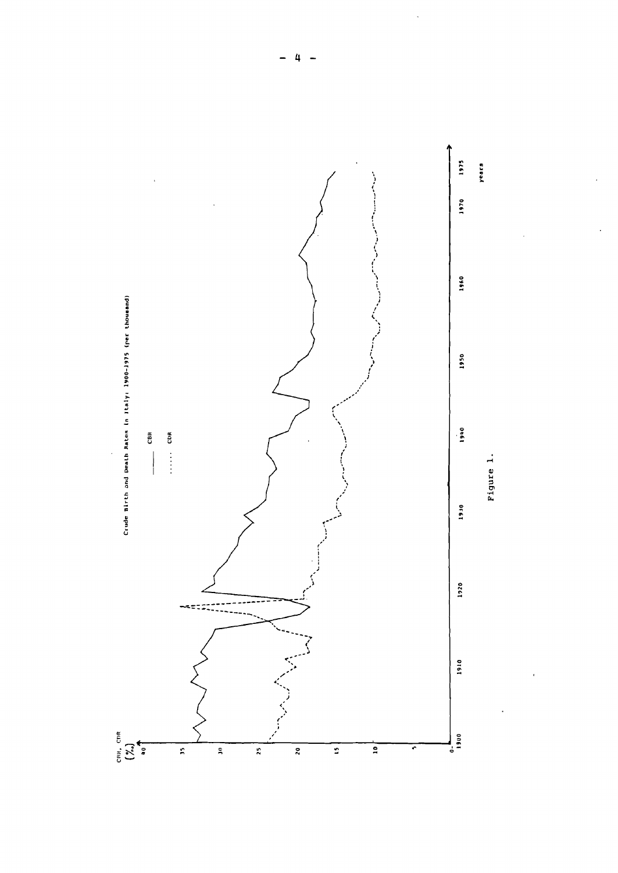

 $\overline{a}$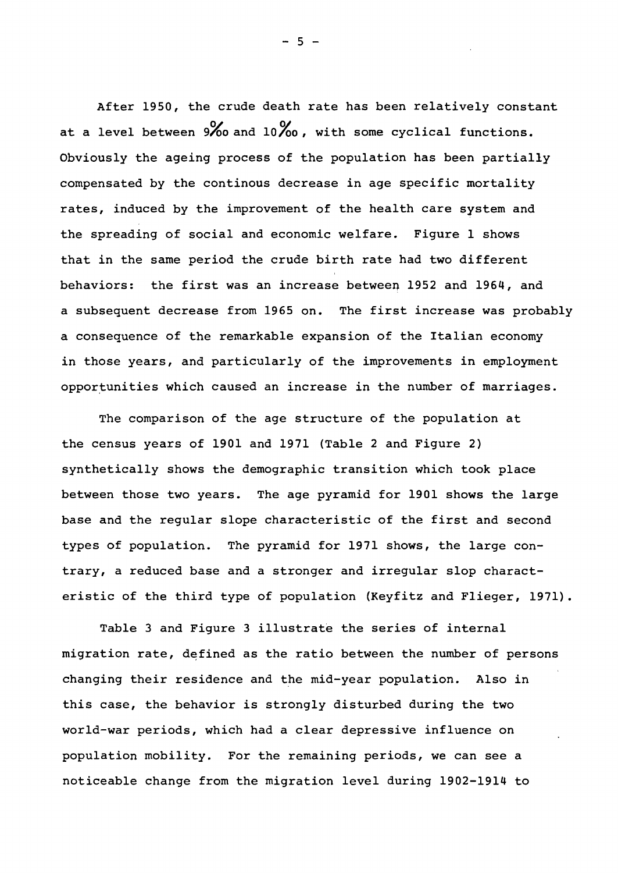After 1950, the crude death rate has been relatively constant at a level between  $9\%$  and  $10\%$  , with some cyclical functions. Obviously the ageing process of the population has been partially compensated by the continous decrease in age specific mortality rates, induced by the improvement of the health care system and the spreading of social and economic welfare. Figure 1 shows that in the same period the crude birth rate had two different behaviors: the first was an increase between <sup>1952</sup> and 1964, and <sup>a</sup> subsequent decrease from <sup>1965</sup> on. The first increase was probably <sup>a</sup> consequence of the remarkable expansion of the Italian economy in those years, and particularly of the improvements in employment opportunities which caused an increase in the number of marriages.

The comparison of the age structure of the population at the census years of 1901 and 1971 (Table 2 and Figure 2) synthetically shows the demographic transition which took place between those two years. The age pyramid for 1901 shows the large base and the regular slope characteristic of the first and second types of population. The pyramid for 1971 shows, the large contrary, <sup>a</sup> reduced base and <sup>a</sup> stronger and irregular slop characteristic of the third type of population (Keyfitz and Flieger, 1971).

Table <sup>3</sup> and Figure <sup>3</sup> illustrate the series of internal migration rate, defined as the ratio between the number of persons changing their residence and the mid-year population. Also in this case, the behavior is strongly disturbed during the two world-war periods, which had a clear depressive influence on population mobility. For the remaining periods, we can see a noticeable change from the migration level during 1902-1914 to

 $-5 -$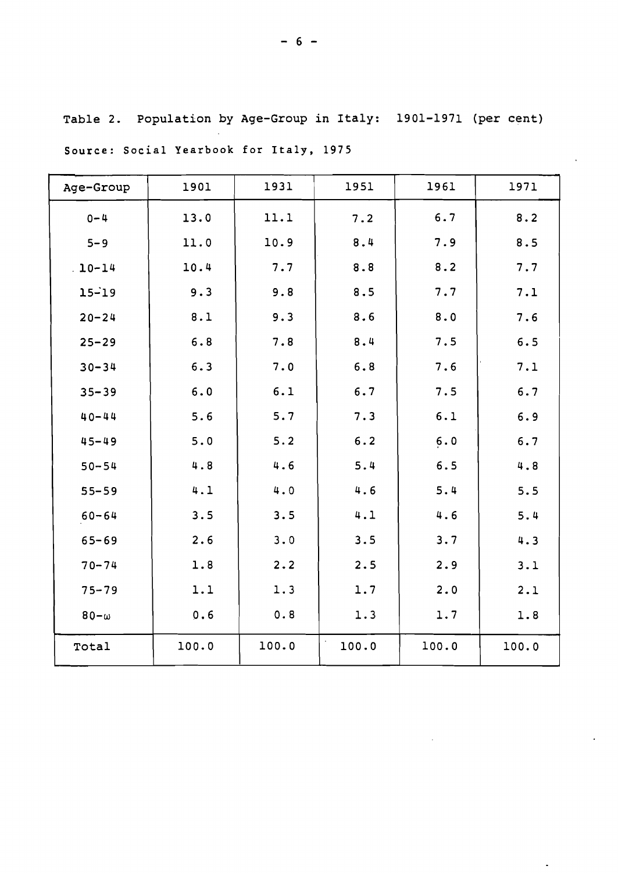| Age-Group   | 1901  | 1931  | 1951  | 1961  | 1971  |
|-------------|-------|-------|-------|-------|-------|
| $0 - 4$     | 13.0  | 11.1  | 7.2   | 6.7   | 8.2   |
| $5 - 9$     | 11.0  | 10.9  | 8.4   | 7.9   | 8.5   |
| $10 - 14$   | 10.4  | 7.7   | 8.8   | 8.2   | 7.7   |
| $15 - 19$   | 9.3   | 9.8   | 8.5   | 7.7   | 7.1   |
| $20 - 24$   | 8.1   | 9.3   | 8.6   | 8.0   | 7.6   |
| $25 - 29$   | 6.8   | 7.8   | 8.4   | 7.5   | 6.5   |
| $30 - 34$   | 6.3   | 7.0   | 6.8   | 7.6   | 7.1   |
| $35 - 39$   | 6.0   | 6.1   | 6.7   | 7.5   | 6.7   |
| $40 - 44$   | 5.6   | 5.7   | 7.3   | 6.1   | 6.9   |
| $45 - 49$   | 5.0   | $5.2$ | 6.2   | 6.0   | 6.7   |
| $50 - 54$   | 4.8   | 4.6   | 5.4   | 6.5   | 4.8   |
| $55 - 59$   | 4.1   | 4.0   | 4.6   | 5.4   | 5.5   |
| $60 - 64$   | 3.5   | 3.5   | 4.1   | 4.6   | 5.4   |
| $65 - 69$   | 2.6   | 3.0   | 3.5   | 3.7   | 4.3   |
| $70 - 74$   | 1.8   | 2.2   | 2.5   | 2.9   | 3.1   |
| $75 - 79$   | 1.1   | 1.3   | 1.7   | 2.0   | 2.1   |
| $80-\omega$ | 0.6   | 0.8   | 1.3   | 1.7   | 1.8   |
| Total       | 100.0 | 100.0 | 100.0 | 100.0 | 100.0 |

Table 2. Population by Age-Group in Italy: 1901-1971 (per cent)

Source: Social Yearbook for Italy, 1975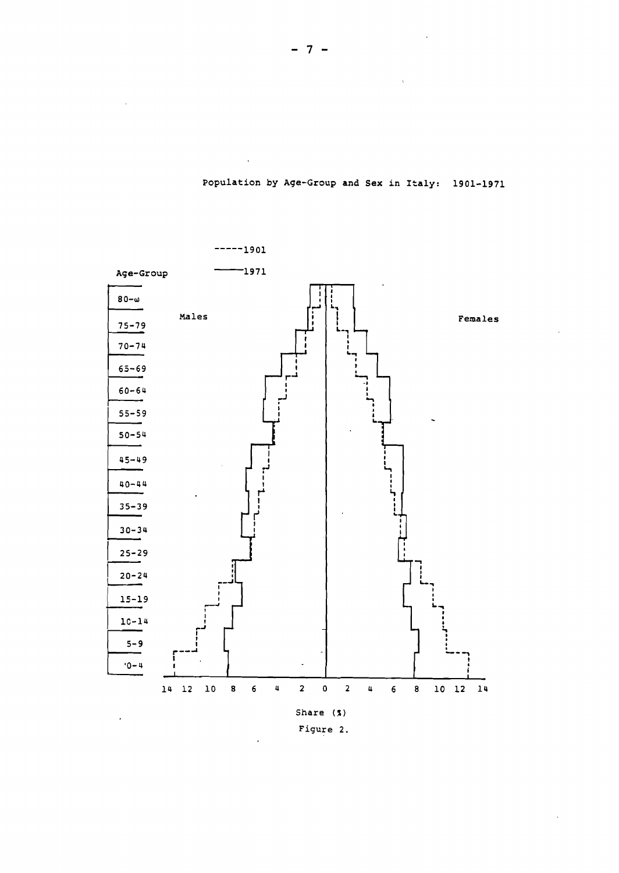

population by Age-Group and Sex in Italy: 1901-1971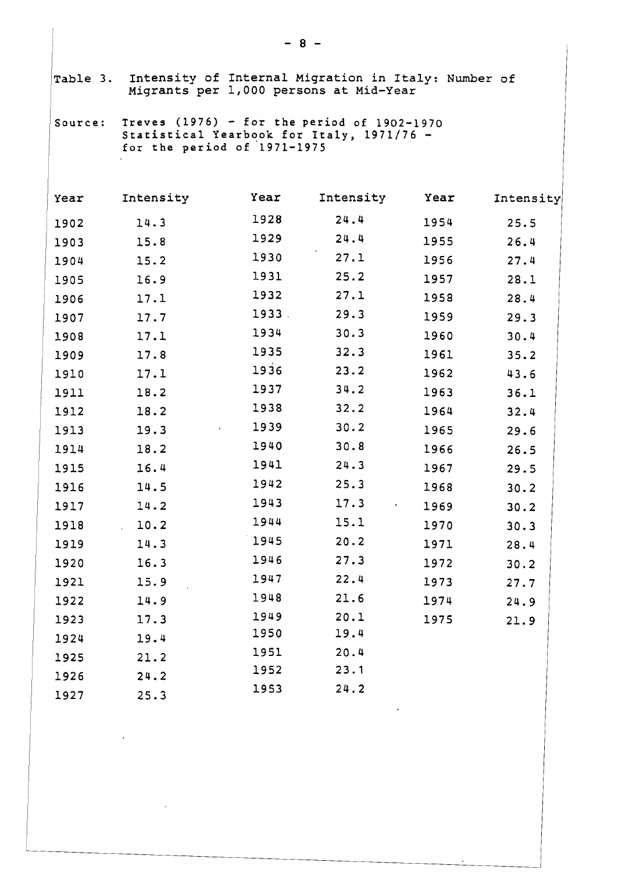| Table 3. |                                                                                                                           |       | Intensity of Internal Migration in Italy: Number of<br>Migrants per 1,000 persons at Mid-Year |      |           |  |  |  |  |  |  |
|----------|---------------------------------------------------------------------------------------------------------------------------|-------|-----------------------------------------------------------------------------------------------|------|-----------|--|--|--|--|--|--|
| Source:  | Treves $(1976)$ - for the period of 1902-1970<br>Statistical Yearbook for Italy, 1971/76 -<br>for the period of 1971-1975 |       |                                                                                               |      |           |  |  |  |  |  |  |
| Year     | Intensity                                                                                                                 | Year  | Intensity                                                                                     | Year | Intensity |  |  |  |  |  |  |
| 1902     | 14.3                                                                                                                      | 1928  | 24.4                                                                                          | 1954 | 25.5      |  |  |  |  |  |  |
| 1903     | 15.8                                                                                                                      | 1929  | 24.4                                                                                          | 1955 | 26.4      |  |  |  |  |  |  |
| 1904     | 15.2                                                                                                                      | 1930  | 27.1                                                                                          | 1956 | 27.4      |  |  |  |  |  |  |
| 1905     | 16.9                                                                                                                      | 1931  | 25.2                                                                                          | 1957 | 28.1      |  |  |  |  |  |  |
| 1906     | 17.1                                                                                                                      | 1932  | 27.1                                                                                          | 1958 | 28.4      |  |  |  |  |  |  |
| 1907     | 17.7                                                                                                                      | 1933. | 29.3                                                                                          | 1959 | 29.3      |  |  |  |  |  |  |
| 1908     | 17.1                                                                                                                      | 1934  | 30.3                                                                                          | 1960 | 30.4      |  |  |  |  |  |  |
| 1909     | 17.8                                                                                                                      | 1935  | 32.3                                                                                          | 1961 | 35.2      |  |  |  |  |  |  |
| 1910     | 17.1                                                                                                                      | 1936  | 23.2                                                                                          | 1962 | 43.6      |  |  |  |  |  |  |
| 1911     | 18.2                                                                                                                      | 1937  | 34.2                                                                                          | 1963 | 36.1      |  |  |  |  |  |  |
| 1912     | 18.2                                                                                                                      | 1938  | 32.2                                                                                          | 1964 | 32.4      |  |  |  |  |  |  |
| 1913     | 19.3                                                                                                                      | 1939  | 30.2                                                                                          | 1965 | 29.6      |  |  |  |  |  |  |
| 1914     | 18.2                                                                                                                      | 1940  | 30.8                                                                                          | 1966 | 26.5      |  |  |  |  |  |  |
| 1915     | 16.4                                                                                                                      | 1941  | 24.3                                                                                          | 1967 | 29.5      |  |  |  |  |  |  |
| 1916     | 14.5                                                                                                                      | 1942  | 25.3                                                                                          | 1968 | 30.2      |  |  |  |  |  |  |
| 1917     | 14.2                                                                                                                      | 1943  | 17.3                                                                                          | 1969 | 30.2      |  |  |  |  |  |  |
| 1918     | 10.2                                                                                                                      | 1944  | 15.1                                                                                          | 1970 | 30.3      |  |  |  |  |  |  |
| 1919     | 14.3                                                                                                                      | 1945  | 20.2                                                                                          | 1971 | 28.4      |  |  |  |  |  |  |
| 1920     | 16.3                                                                                                                      | 1946  | 27.3                                                                                          | 1972 | 30.2      |  |  |  |  |  |  |
| 1921     | 15.9                                                                                                                      | 1947  | 22.4                                                                                          | 1973 | 27.7      |  |  |  |  |  |  |
| 1922     | 14.9                                                                                                                      | 1948  | 21.6                                                                                          | 1974 | 24.9      |  |  |  |  |  |  |
| 1923     | 17.3                                                                                                                      | 1949  | 20.1                                                                                          | 1975 | 21.9      |  |  |  |  |  |  |
| 1924     | 19.4                                                                                                                      | 1950  | 19.4                                                                                          |      |           |  |  |  |  |  |  |
| 1925     | 21.2                                                                                                                      | 1951  | 20.4                                                                                          |      |           |  |  |  |  |  |  |
| 1926     | 24.2                                                                                                                      | 1952  | 23.1                                                                                          |      |           |  |  |  |  |  |  |
| 1927     | 25.3                                                                                                                      | 1953  | 24.2                                                                                          |      |           |  |  |  |  |  |  |

 $\mathcal{L}(\mathcal{L}^{\mathcal{L}})$  . The  $\mathcal{L}(\mathcal{L}^{\mathcal{L}})$ 

 $\mathcal{A}^{\text{max}}$  , where  $\mathcal{A}^{\text{max}}$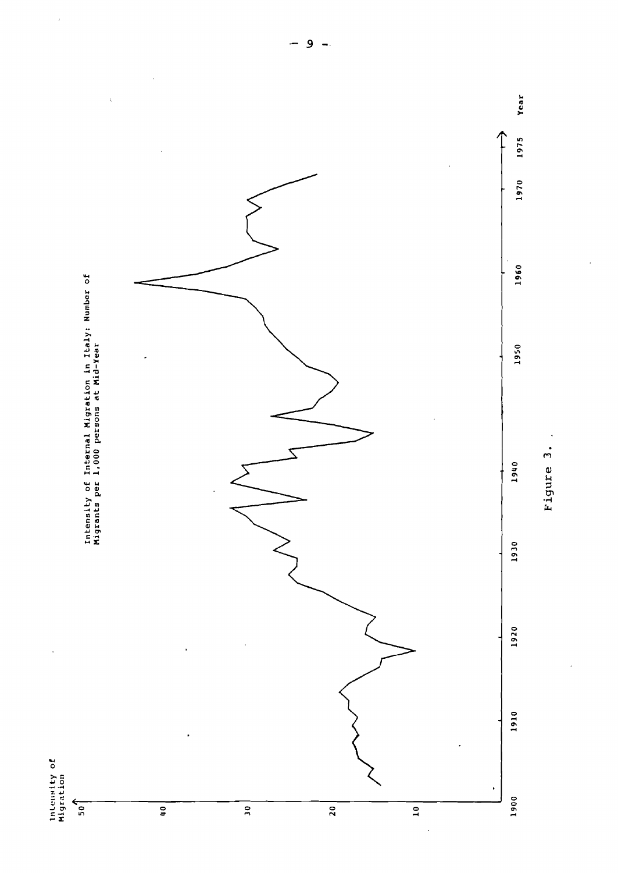

J. Figure 3.

 $\hat{t}$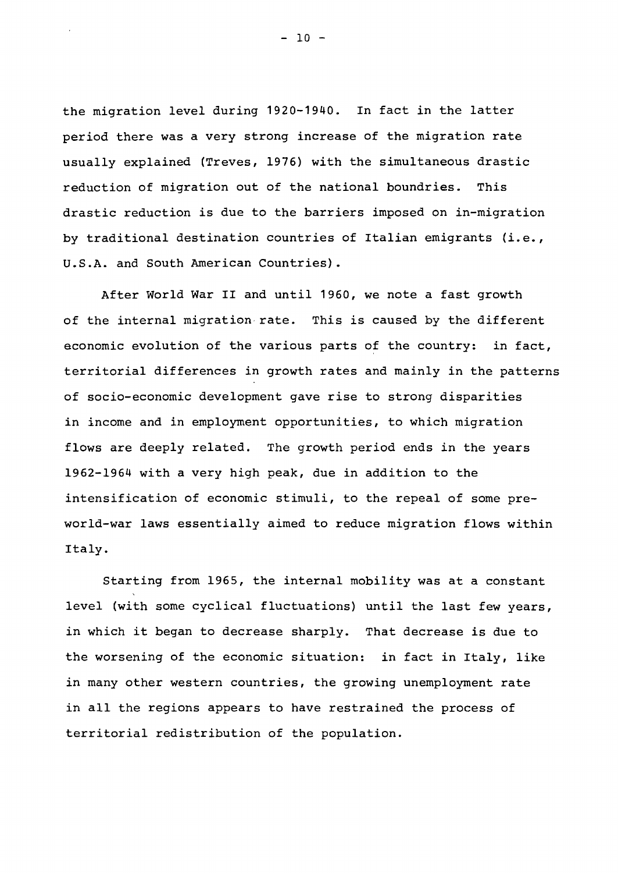the migration level during 1920-1940. In fact in the latter period there was <sup>a</sup> very strong increase of the migration rate usually explained (Treves, 1976) with the simultaneous drastic reduction of migration out of the national boundries. This drastic reduction is due to the barriers imposed on in-migration by traditional destination countries of Italian emigrants (i.e., U.S.A. and South American Countries) •

After World War II and until 1960, we note <sup>a</sup> fast growth of the internal migration rate. This is caused by the different economic evolution of the various parts of the country: in fact, territorial differences in growth rates and mainly in the patterns of socio-economic development gave rise to strong disparities in income and in employment opportunities, to which migration flows are deeply related. The growth period ends in the years 1962-1964 with a very high peak, due in addition to the intensification of economic stimuli, to the repeal of some preworld-war laws essentially aimed to reduce migration flows within Italy.

Starting from 1965, the internal mobility was at <sup>a</sup> constant level (with some cyclical fluctuations) until the last few years, in which it began to decrease sharply. That decrease is due to the worsening of the economic situation: in fact in Italy, like in many other western countries, the growing unemployment rate in all the regions appears to have restrained the process of territorial redistribution of the population.

 $- 10 -$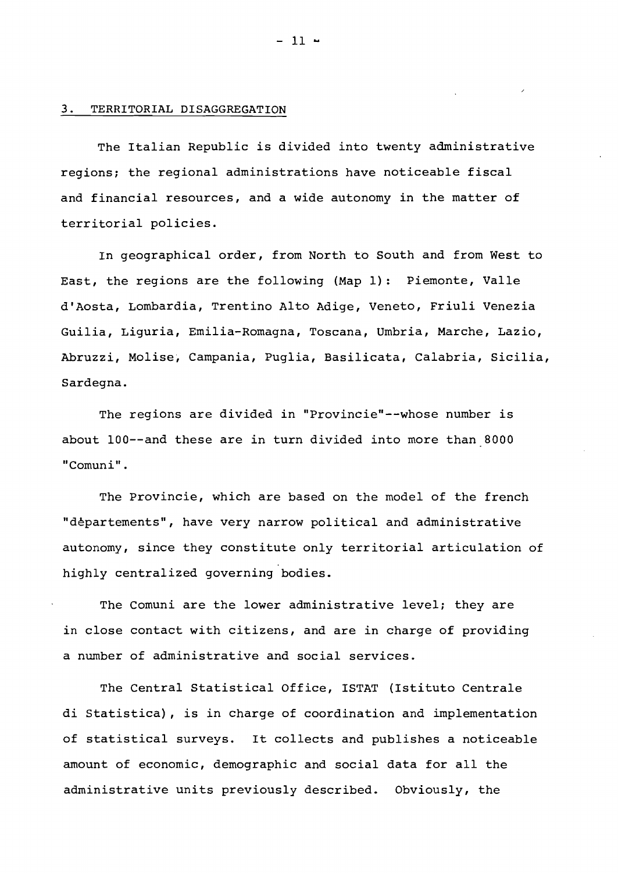### 3. TERRITORIAL DISAGGREGATION

The Italian Republic is divided into twenty administrative regions; the regional administrations have noticeable fiscal and financial resources, and a wide autonomy in the matter of territorial policies.

In geographical order, from North to South and from West to East, the regions are the following (Map 1): Piemonte, Valle d'Aosta, Lombardia, Trentino Alto Adige, Veneto, Friuli Venezia Guilia, Liguria, Emilia-Romagna, Toscana, Umbria, Marche, Lazio, Abruzzi, Molise, Campania, Puglia, Basilicata, Calabria, Sicilia, Sardegna.

The regions are divided in "Provincie"--whose number is about lOO--and these are in turn divided into more than BOOO "Comuni".

The Provincie, which are based on the model of the french "departements", have very narrow political and administrative autonomy, since they constitute only territorial articulation of highly centralized governing bodies.

The Comuni are the lower administrative level; they are in close contact with citizens, and are in charge of providing a number of administrative and social services.

The Central Statistical Office, ISTAT (Istituto Centrale di Statistica), is in charge of coordination and implementation of statistical surveys. It collects and publishes <sup>a</sup> noticeable amount of economic, demographic and social data for all the administrative units previously described. Obviously, the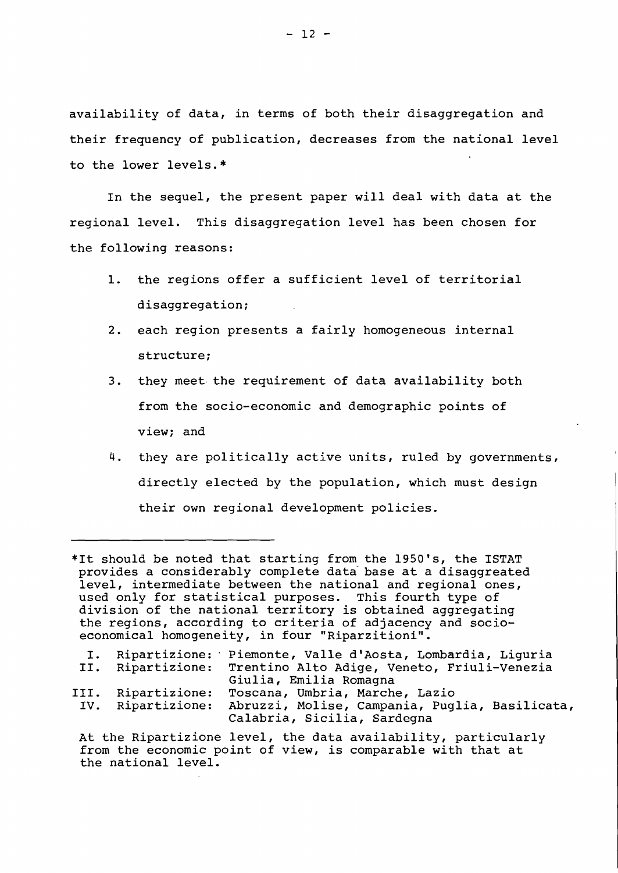availability of data, in terms of both their disaggregation and their frequency of publication, decreases from the national level to the lower levels.\*

In the sequel, the present paper will deal with data at the regional level. This disaggregation level has been chosen for the following reasons:

- 1. the regions offer <sup>a</sup> sufficient level of territorial disaggregation;
- 2. each region presents <sup>a</sup> fairly homogeneous internal structure;
- 3. they meet· the requirement of data availability both from the socio-economic and demographic points of view; and
- 4. they are politically active units, ruled by governments, directly elected by the population, which must design their own regional development policies.

\*It should be noted that starting from the 1950'5, the ISTAT provides <sup>a</sup> considerably complete data' base at <sup>a</sup> disaggreated level, intermediate between the national and regional ones, used only for statistical purposes. This fourth type of division of the national territory is obtained aggregating the regions, according to criteria of adjacency and socioeconomical homogeneity, in four "Riparzitioni".

| I.   |                   | Ripartizione: Piemonte, Valle d'Aosta, Lombardia, Liquria                     |
|------|-------------------|-------------------------------------------------------------------------------|
|      | II. Ripartizione: | Trentino Alto Adige, Veneto, Friuli-Venezia<br>Giulia, Emilia Romagna         |
|      |                   |                                                                               |
| III. | Ripartizione:     | Toscana, Umbria, Marche, Lazio                                                |
| IV.  | Ripartizione:     | Abruzzi, Molise, Campania, Puglia, Basilicata,<br>Calabria, Sicilia, Sardegna |
|      |                   | At the Ripartizione level, the data availability, particularly                |

from the economic point of view, is comparable with that at the national level.

 $- 12 -$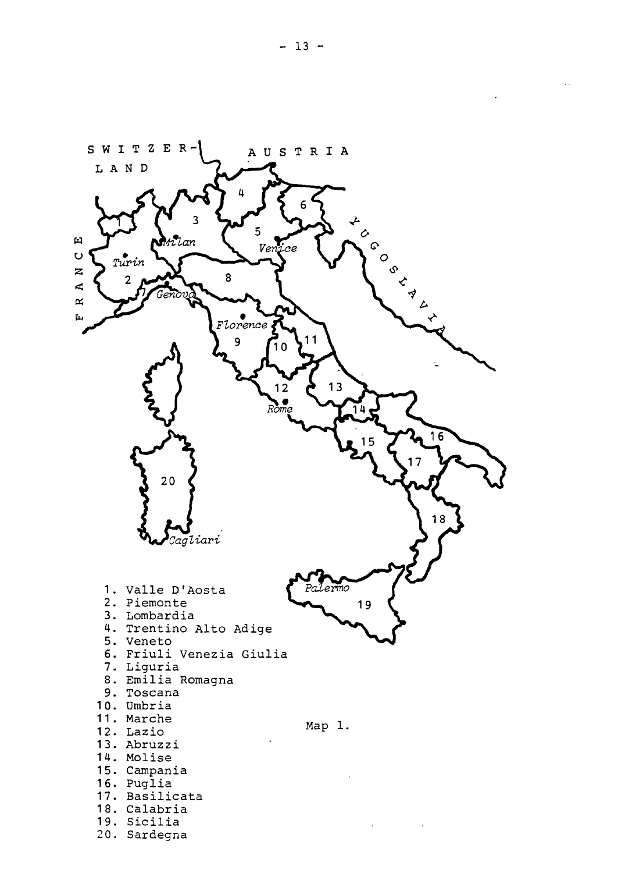

 $\mathcal{L}^{\mathcal{L}}$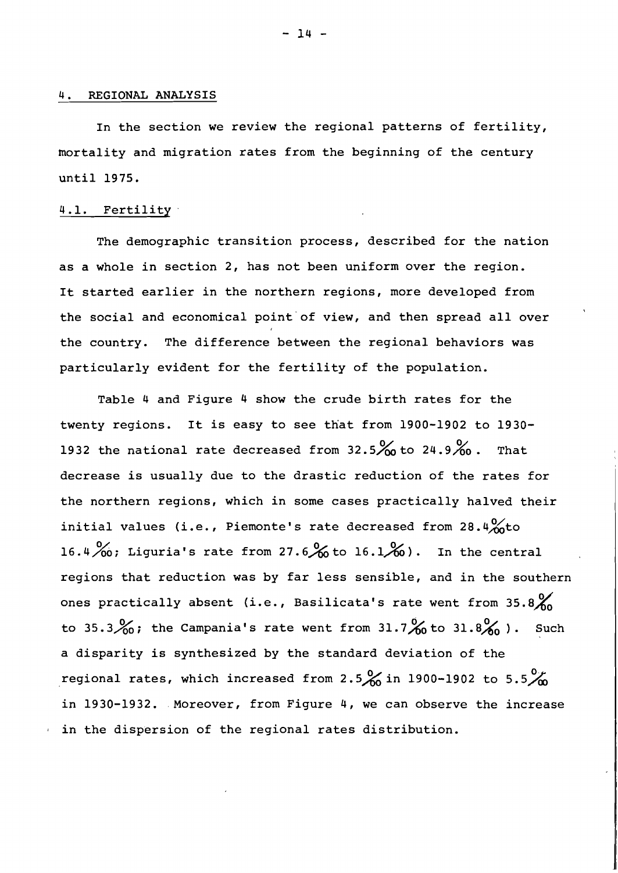### REGIONAL ANALYSIS

In the section we review the regional patterns of fertility, mortality and migration rates from the beginning of the century until 1975.

# 4.1. Fertility

The demographic transition process, described for the nation as a whole in section 2, has not been uniform over the region. It started earlier in the northern regions, more developed from the social and economical point of view, and then spread all over the country. The difference between the regional behaviors was particularly evident for the fertility of the population.

Table <sup>4</sup> and Figure <sup>4</sup> show the crude birth rates for the twenty regions. It is easy to see that from 1900-1902 to 1930- 1932 the national rate decreased from  $32.5\%$  to 24.9%. That decrease is usually due to the drastic reduction of the rates for the northern regions, which in some cases practically halved their initial values (i.e., Piemonte's rate decreased from 28.4 $\frac{0}{00}$ to 16.4  $\frac{\%}{\%}$ ; Liguria's rate from 27.6  $\frac{\%}{\%}$  to 16.1  $\frac{\%}{\%}$ ). In the central regions that reduction was by far less sensible, and in the southern ones practically absent (i.e., Basilicata's rate went from  $35.8\%$ to 35.3 $\frac{9}{60}$ ; the Campania's rate went from 31.7 $\frac{9}{60}$  to 31.8 $\frac{9}{60}$ ). Such <sup>a</sup> disparity is synthesized by the standard deviation of the regional rates, which increased from 2.5 $\%$  in 1900-1902 to 5.5 $\%$ in 1930-1932. Moreover, from Figure 4, we can observe the increase in the dispersion of the regional rates distribution.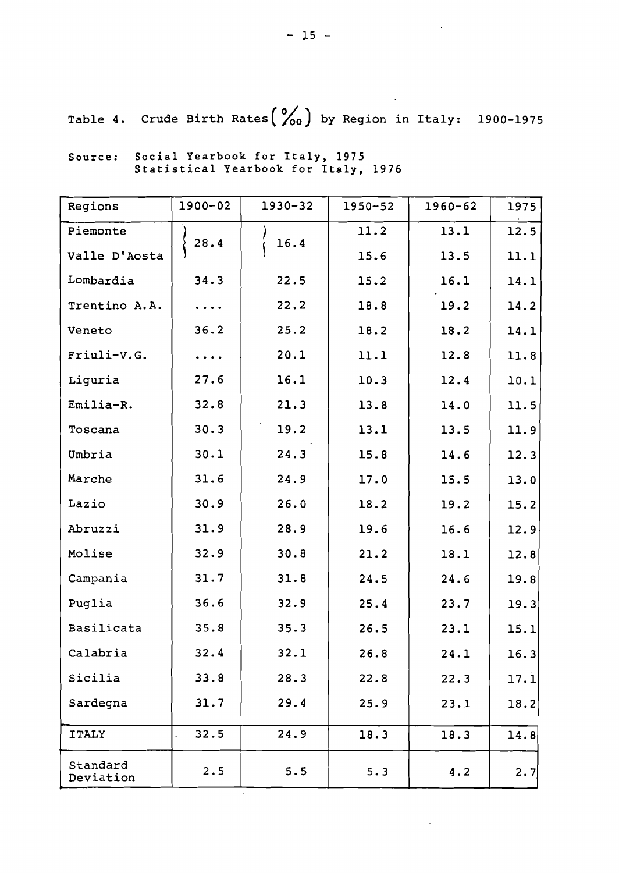$\ddot{\phantom{0}}$ 

 $\mathcal{A}$ 

 $\ddot{\phantom{a}}$ 

Table 4. Crude Birth Rates  $\binom{0}{100}$  by Region in Italy: 1900-1975

| Regions               | $1900 - 02$ | 1930-32 | 1950-52 | $1960 - 62$ | 1975 |
|-----------------------|-------------|---------|---------|-------------|------|
| Piemonte              | 28.4        | 16.4    | 11.2    | 13.1        | 12.5 |
| Valle D'Aosta         |             |         | 15.6    | 13.5        | 11.1 |
| Lombardia             | 34.3        | 22.5    | 15.2    | 16.1        | 14.1 |
| Trentino A.A.         | $\ddotsc$   | 22.2    | 18.8    | 19.2        | 14.2 |
| Veneto                | 36.2        | 25.2    | 18.2    | 18.2        | 14.1 |
| Friuli-V.G.           | $\ddotsc$   | 20.1    | 11.1    | .12.8       | 11.8 |
| Liguria               | 27.6        | 16.1    | 10.3    | 12.4        | 10.1 |
| Emilia-R.             | 32.8        | 21.3    | 13.8    | 14.0        | 11.5 |
| Toscana               | 30.3        | 19.2    | 13.1    | 13.5        | 11.9 |
| Umbria                | 30.1        | 24.3    | 15.8    | 14.6        | 12.3 |
| Marche                | 31.6        | 24.9    | 17.0    | 15.5        | 13.0 |
| Lazio                 | 30.9        | 26.0    | 18.2    | 19.2        | 15.2 |
| Abruzzi               | 31.9        | 28.9    | 19.6    | 16.6        | 12.9 |
| Molise                | 32.9        | 30.8    | 21.2    | 18.1        | 12.8 |
| Campania              | 31.7        | 31.8    | 24.5    | 24.6        | 19.8 |
| Puglia                | 36.6        | 32.9    | 25.4    | 23.7        | 19.3 |
| Basilicata            | 35.8        | 35.3    | 26.5    | 23.1        | 15.1 |
| Calabria              | 32.4        | 32.1    | 26.8    | 24.1        | 16.3 |
| Sicilia               | 33.8        | 28.3    | 22.8    | 22.3        | 17.1 |
| Sardegna              | 31.7        | 29.4    | 25.9    | 23.1        | 18.2 |
| <b>ITALY</b>          | 32.5        | 24.9    | 18.3    | 18.3        | 14.8 |
| Standard<br>Deviation | 2.5         | 5.5     | 5.3     | 4.2         | 2.7  |

 $\epsilon$ 

Source: Social Yearbook for Italy, 1975 Statistical Yearbook for Italy, 1976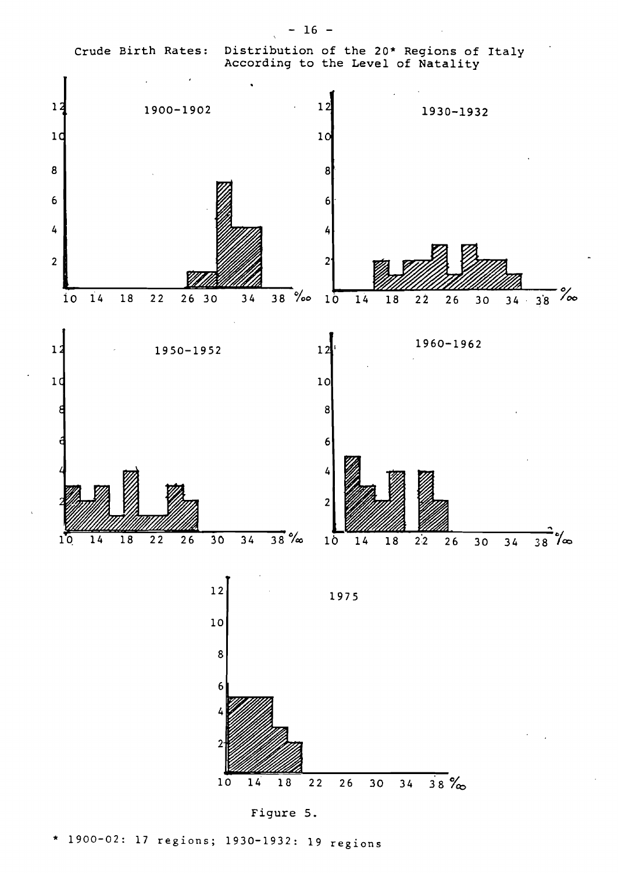Crude Birth Rates: Distribution of the 20\* Regions of Italy

 $- 16 -$ 



Figure 5.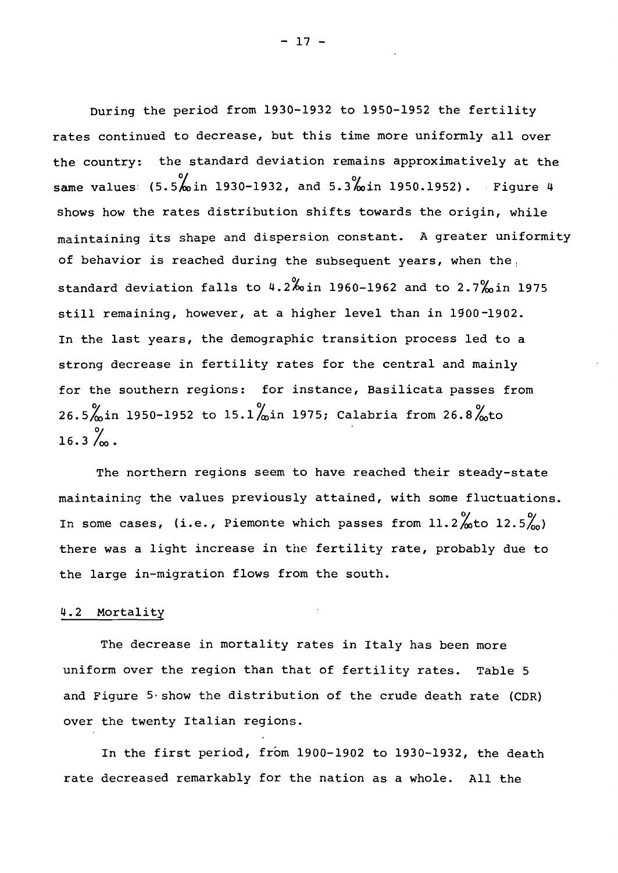During the period from 1930-1932 to 1950-1952 the fertility rates continued to decrease, but this time more uniformly all over the country: the standard deviation remains approximatively at the same values:  $(5.5\frac{6}{10})$  in 1930-1932, and 5.3% in 1950.1952). Figure 4 shows how the rates distribution shifts towards the origin, while maintaining its shape and dispersion constant. <sup>A</sup> greater uniformity of behavior is reached during the subsequent years, when the standard deviation falls to  $4.2\%$  in 1960-1962 and to  $2.7\%$  in 1975 still remaining, however, at <sup>a</sup> higher level than in 1900-1902. In the last years, the demographic transition process led to <sup>a</sup> strong decrease in fertility rates for the central and mainly for the southern regions: for instance, Basilicata passes from 26.5 $\frac{9}{10}$ in 1950-1952 to 15.1 $\frac{9}{10}$ in 1975; Calabria from 26.8 $\frac{9}{10}$ to  $16.3\%$ .

The northern regions seem to have reached their steady-state maintaining the values previously attained, with some fluctuations. In some cases, (i.e., Piemonte which passes from  $11.2\frac{9}{20}$ to  $12.5\frac{9}{10}$ ) there was <sup>a</sup> light increase in the fertility rate, probably due to the large in-migration flows from the south.

### 4.2 Mortality

The decrease in mortality rates in Italy has been more uniform over the region than that of fertility rates. Table <sup>5</sup> and Figure  $5 \cdot$  show the distribution of the crude death rate (CDR) over the twenty Italian regions.

In the first period, from 1900-1902 to 1930-1932, the death rate decreased remarkably for the nation as <sup>a</sup> whole. All the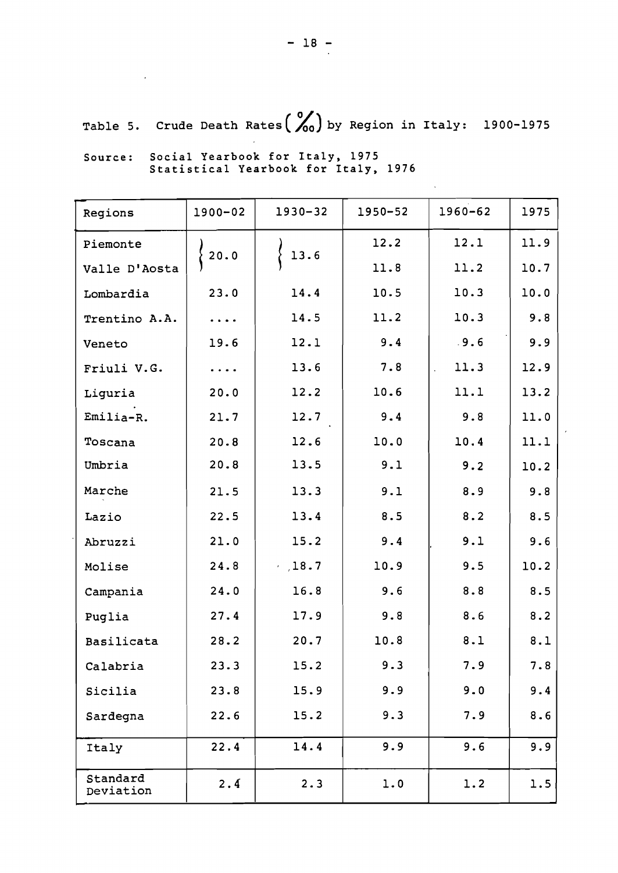Table 5. Crude Death Rates  $\binom{0}{00}$  by Region in Italy: 1900-1975

| Regions               | 1900-02                                                                                 | 1930-32 | 1950-52 | 1960-62    | 1975 |
|-----------------------|-----------------------------------------------------------------------------------------|---------|---------|------------|------|
| Piemonte              | $\{20.0$                                                                                | 13.6    | 12.2    | 12.1       | 11.9 |
| Valle D'Aosta         |                                                                                         |         | 11.8    | 11.2       | 10.7 |
| Lombardia             | 23.0                                                                                    | 14.4    | 10.5    | 10.3       | 10.0 |
| Trentino A.A.         | $\ddotsc$                                                                               | 14.5    | 11.2    | 10.3       | 9.8  |
| Veneto                | 19.6                                                                                    | 12.1    | 9.4     | .9.6       | 9.9  |
| Friuli V.G.           | $\begin{array}{cccccccccc} \bullet & \bullet & \bullet & \bullet & \bullet \end{array}$ | 13.6    | 7.8     | 11.3<br>ä, | 12.9 |
| Liguria               | 20.0                                                                                    | 12.2    | 10.6    | 11.1       | 13.2 |
| Emilia-R.             | 21.7                                                                                    | 12.7    | 9.4     | 9.8        | 11.0 |
| Toscana               | 20.8                                                                                    | 12.6    | 10.0    | 10.4       | 11.1 |
| Umbria                | 20.8                                                                                    | 13.5    | 9.1     | 9.2        | 10.2 |
| Marche                | 21.5                                                                                    | 13.3    | 9.1     | 8.9        | 9.8  |
| Lazio                 | 22.5                                                                                    | 13.4    | 8.5     | 8.2        | 8.5  |
| Abruzzi               | 21.0                                                                                    | 15.2    | 9.4     | 9.1        | 9.6  |
| Molise                | 24.8                                                                                    | .18.7   | 10.9    | 9.5        | 10.2 |
| Campania              | 24.0                                                                                    | 16.8    | 9.6     | 8.8        | 8.5  |
| Puglia                | 27.4                                                                                    | 17.9    | 9.8     | 8.6        | 8.2  |
| Basilicata            | 28.2                                                                                    | 20.7    | 10.8    | 8.1        | 8.1  |
| Calabria              | 23.3                                                                                    | 15.2    | 9.3     | 7.9        | 7.8  |
| Sicilia               | 23.8                                                                                    | 15.9    | 9.9     | 9.0        | 9.4  |
| Sardegna              | 22.6                                                                                    | 15.2    | 9.3     | 7.9        | 8.6  |
| Italy                 | 22.4                                                                                    | 14.4    | 9.9     | 9.6        | 9.9  |
| Standard<br>Deviation | 2.4                                                                                     | 2.3     | 1.0     | 1.2        | 1.5  |

Source: Social Yearbook for Italy, 1975 Statistical Yearbook for Italy, 1976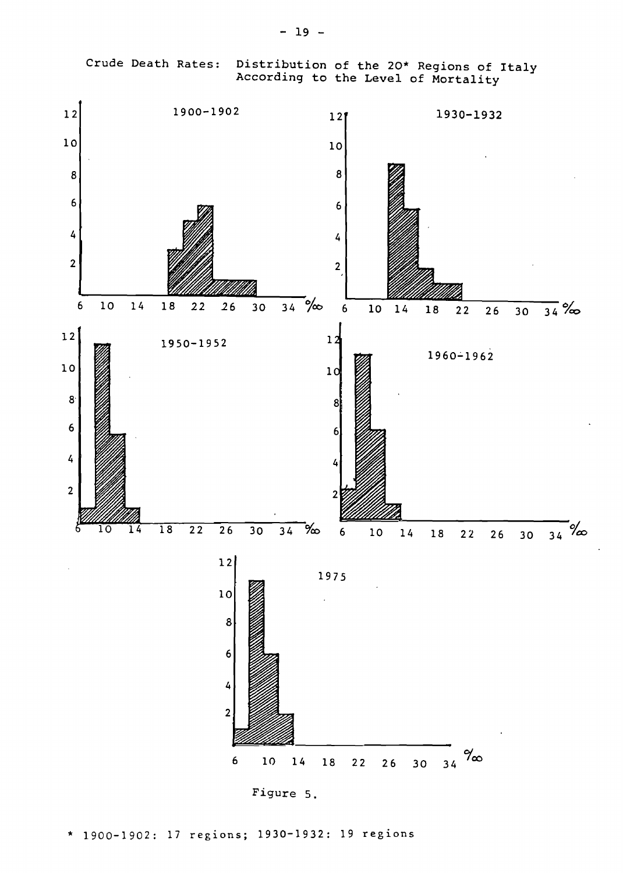Crude Death Rates: Distribution of the 20\* Regions of Italy According to the Level of Mortality



Figure 5.

\* 1900-1902: 17 regions; 1930-1932: 19 regions

- 19 -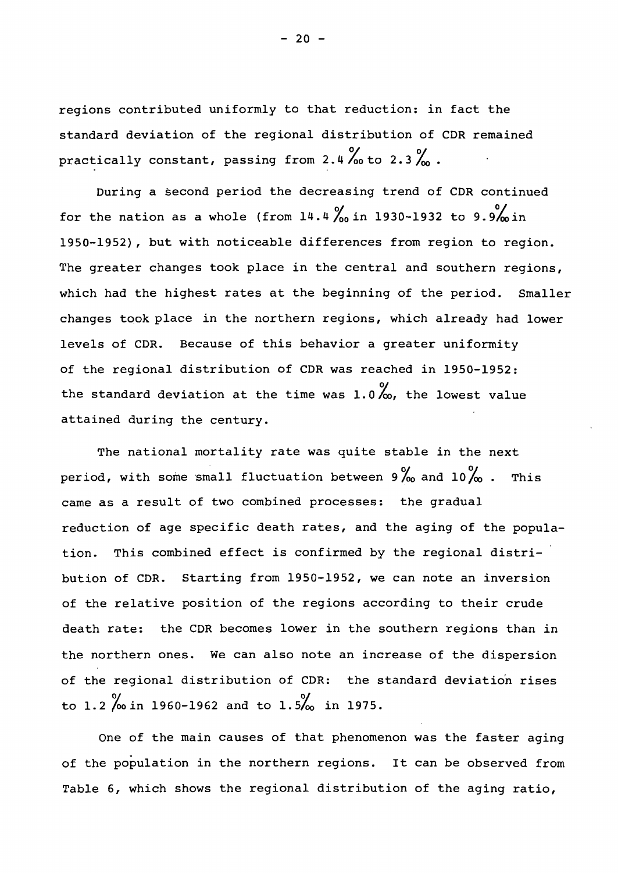regions contributed uniformly to that reduction: in fact the standard deviation of the regional distribution of CDR remained practically constant, passing from 2.4 % to 2.3 %.

During a second period the decreasing trend of CDR continued for the nation as a whole (from  $14.4\frac{\%}{\text{on}}$  in 1930-1932 to 9.9% in 1950-1952), but with noticeable differences from region to region. The greater changes took place in the central and southern regions, which had the highest rates at the beginning of the period. Smaller changes took place in the northern regions, which already had lower levels of CDR. Because of this behavior <sup>a</sup> greater uniformity of the regional distribution of CDR was reached in 1950-1952: the standard deviation at the time was  $1.0\%$ , the lowest value attained during the century.

The national mortality rate was quite stable in the next period, with some small fluctuation between  $9\%$  and  $10\%$ . This came as <sup>a</sup> result of two combined processes: the gradual reduction of age specific death rates, and the aging of the population. This combined effect is confirmed by the regional distribution of CDR. Starting from 1950-1952, we can note an inversion of the relative position of the regions according to their crude death rate: the CDR becomes lower in the southern regions than in the northern ones. We can also note an increase of the dispersion of the regional distribution of CDR: the standard deviation rises to 1.2  $\%$  in 1960-1962 and to 1.5% in 1975.

One of the main causes of that phenomenon was the faster aging of the population in the northern regions. It can be observed from Table 6, which shows the regional distribution of the aging ratio,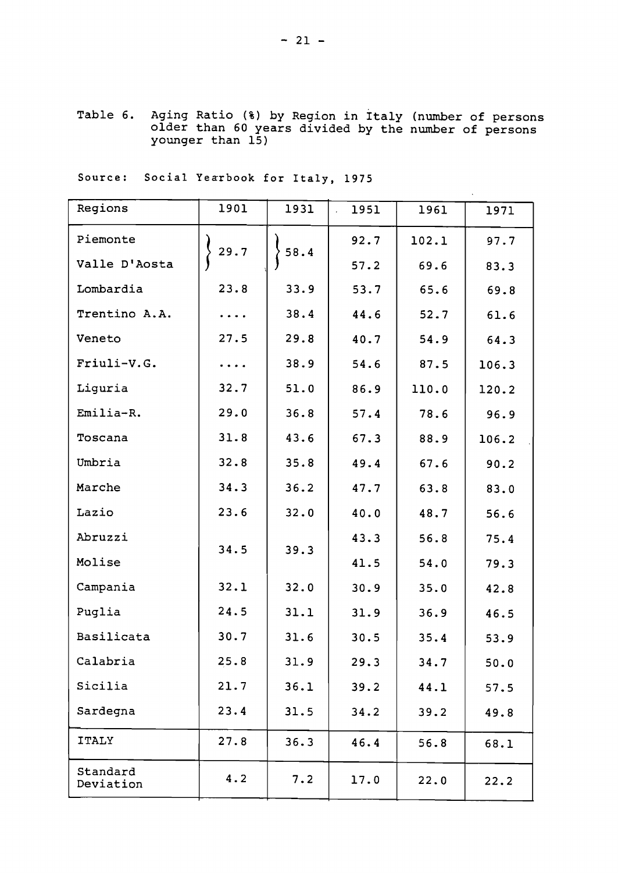Table 6. Aging Ratio (%) by Region in Italy (number of persons older than 60 years divided by the number of persons younger than 15)

Source: Social Yearbook for Italy, 1975

| Regions               | 1901      | 1931 | 1951<br>$\mathcal{L}$ | 1961  | 1971  |
|-----------------------|-----------|------|-----------------------|-------|-------|
| Piemonte              | 29.7      | 58.4 | 92.7                  | 102.1 | 97.7  |
| Valle D'Aosta         |           |      | 57.2                  | 69.6  | 83.3  |
| Lombardia             | 23.8      | 33.9 | 53.7                  | 65.6  | 69.8  |
| Trentino A.A.         | $\ddotsc$ | 38.4 | 44.6                  | 52.7  | 61.6  |
| Veneto                | 27.5      | 29.8 | 40.7                  | 54.9  | 64.3  |
| Friuli-V.G.           |           | 38.9 | 54.6                  | 87.5  | 106.3 |
| Liguria               | 32.7      | 51.0 | 86.9                  | 110.0 | 120.2 |
| Emilia-R.             | 29.0      | 36.8 | 57.4                  | 78.6  | 96.9  |
| Toscana               | 31.8      | 43.6 | 67.3                  | 88.9  | 106.2 |
| Umbria                | 32.8      | 35.8 | 49.4                  | 67.6  | 90.2  |
| Marche                | 34.3      | 36.2 | 47.7                  | 63.8  | 83.0  |
| Lazio                 | 23.6      | 32.0 | 40.0                  | 48.7  | 56.6  |
| Abruzzi               | 34.5      | 39.3 | 43.3                  | 56.8  | 75.4  |
| Molise                |           |      | 41.5                  | 54.0  | 79.3  |
| Campania              | 32.1      | 32.0 | 30.9                  | 35.0  | 42.8  |
| Puglia                | 24.5      | 31.1 | 31.9                  | 36.9  | 46.5  |
| Basilicata            | 30.7      | 31.6 | 30.5                  | 35.4  | 53.9  |
| Calabria              | 25.8      | 31.9 | 29.3                  | 34.7  | 50.0  |
| Sicilia               | 21.7      | 36.1 | 39.2                  | 44.1  | 57.5  |
| Sardegna              | 23.4      | 31.5 | 34.2                  | 39.2  | 49.8  |
| <b>ITALY</b>          | 27.8      | 36.3 | 46.4                  | 56.8  | 68.1  |
| Standard<br>Deviation | 4.2       | 7.2  | 17.0                  | 22.0  | 22.2  |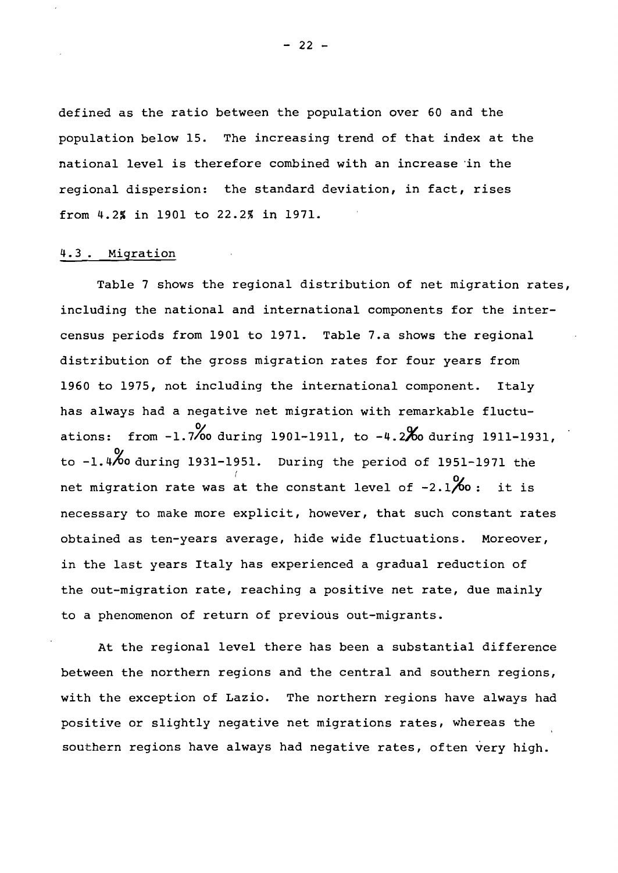defined as the ratio between the population over <sup>60</sup> and the population below 15. The increasing trend of that index at the national level is therefore combined with an increase 'in the regional dispersion: the standard deviation, in fact, rises from 4.2% in 1901 to 22.2% in 1971.

# 4.3. Migration

Table <sup>7</sup> shows the regional distribution of net migration rates, including the national and international components for the intercensus periods from 1901 to 1971. Table 7.a shows the regional distribution of the gross migration rates for four years from 1960 to 1975, not including the international component. Italy has always had a negative net migration with remarkable fluctuations: from  $-1.7\%$  during 1901-1911, to  $-4.2\%$  during 1911-1931, to  $-1.4%$  during 1931-1951. During the period of 1951-1971 the net migration rate was at the constant level of -2.1 $\%$  : it is necessary to make more explicit, however, that such constant rates obtained as ten-years average, hide wide fluctuations. Moreover, in the last years Italy has experienced <sup>a</sup> gradual reduction of the out-migration rate, reaching <sup>a</sup> positive net rate, due mainly to a phenomenon of return of previous out-migrants.

At the regional level there has been a substantial difference between the northern regions and the central and southern regions, with the exception of Lazio. The northern regions have always had positive or slightly negative net migrations rates, whereas the southern regions have always had negative rates, often very high.

 $- 22 -$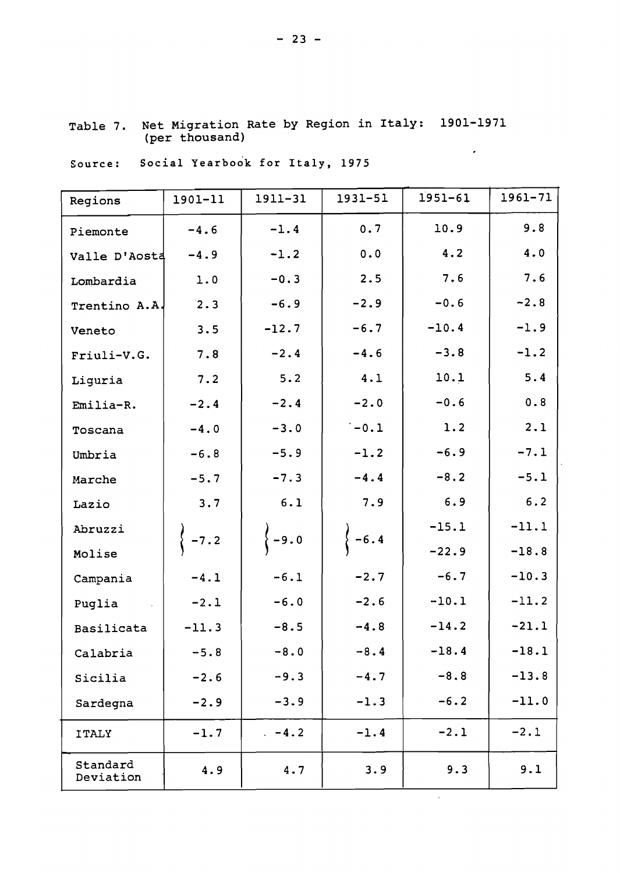| Regions               | 1901-11 | 1911-31 | 1931-51 | $1951 - 61$ | 1961-71 |
|-----------------------|---------|---------|---------|-------------|---------|
| Piemonte              | $-4.6$  | $-1.4$  | 0.7     | 10.9        | 9.8     |
| Valle D'Aosta         | $-4.9$  | $-1.2$  | 0.0     | 4.2         | 4.0     |
| Lombardia             | 1.0     | $-0.3$  | 2.5     | 7.6         | 7.6     |
| Trentino A.A.         | 2.3     | $-6.9$  | $-2.9$  | $-0.6$      | $-2.8$  |
| Veneto                | 3.5     | $-12.7$ | $-6.7$  | $-10.4$     | $-1.9$  |
| Friuli-V.G.           | 7.8     | $-2.4$  | $-4.6$  | $-3.8$      | $-1.2$  |
| Liguria               | 7.2     | 5.2     | 4.1     | 10.1        | 5.4     |
| Emilia-R.             | $-2.4$  | $-2.4$  | $-2.0$  | $-0.6$      | 0.8     |
| Toscana               | $-4.0$  | $-3.0$  | $-0.1$  | 1.2         | 2.1     |
| Umbria                | $-6.8$  | $-5.9$  | $-1.2$  | $-6.9$      | $-7.1$  |
| Marche                | $-5.7$  | $-7.3$  | $-4.4$  | $-8.2$      | $-5.1$  |
| Lazio                 | 3.7     | 6.1     | 7.9     | 6.9         | 6.2     |
| Abruzzi               |         |         | $-6.4$  | $-15.1$     | $-11.1$ |
| Molise                | $-7.2$  | $-9.0$  |         | $-22.9$     | $-18.8$ |
| Campania              | $-4.1$  | $-6.1$  | $-2.7$  | $-6.7$      | $-10.3$ |
| Puglia                | $-2.1$  | $-6.0$  | $-2.6$  | $-10.1$     | $-11.2$ |
| Basilicata            | $-11.3$ | $-8.5$  | $-4.8$  | $-14.2$     | $-21.1$ |
| Calabria              | $-5.8$  | $-8.0$  | $-8.4$  | $-18.4$     | $-18.1$ |
| Sicilia               | $-2.6$  | $-9.3$  | $-4.7$  | $-8.8$      | $-13.8$ |
| Sardegna              | $-2.9$  | $-3.9$  | $-1.3$  | $-6.2$      | $-11.0$ |
| <b>ITALY</b>          | $-1.7$  | $-4.2$  | $-1.4$  | $-2.1$      | $-2.1$  |
| Standard<br>Deviation | 4.9     | 4.7     | 3.9     | 9.3         | 9.1     |

 $\hat{\lambda}$ 

Table 7. Net Migration Rate by Region in Italy: 1901-1971 (per thousand)  $\sim$   $\sim$ 

Source: Social Yearbook for Italy, 1975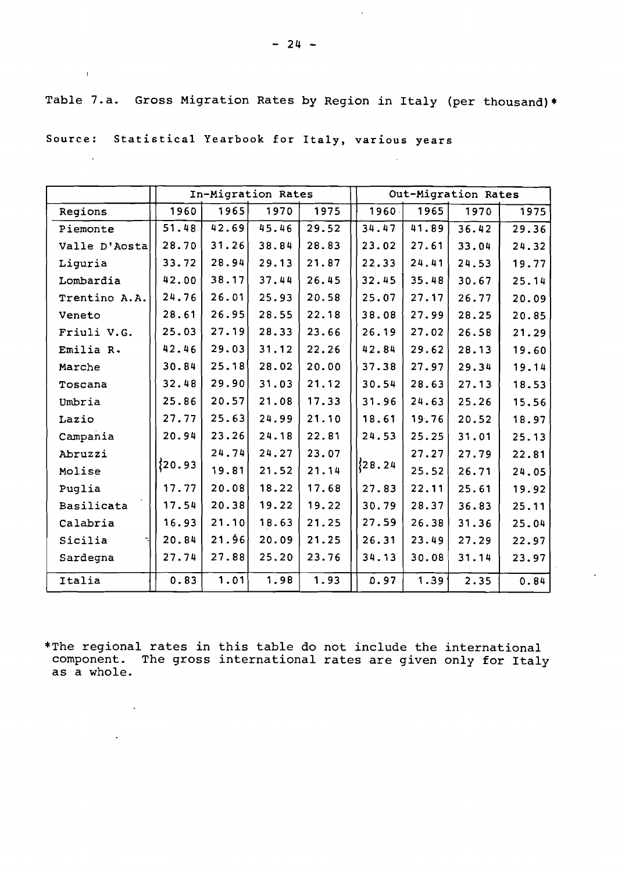Table 7.a. Gross Migration Rates by Region in Italy (per thousand)\*

Source: Statistical Yearbook for Italy, various years

 $\mathcal{L}^{\text{max}}$  and  $\mathcal{L}^{\text{max}}$ 

 $\sim 10$ 

 $\sim 10$ 

 $\sim 10^{-11}$ 

|               |           |       | In-Migration Rates |       |           |                   | Out-Migration Rates |       |
|---------------|-----------|-------|--------------------|-------|-----------|-------------------|---------------------|-------|
| Regions       | 1960      | 1965  | 1970               | 1975  | 1960.     | 1965              | 1970                | 1975  |
| Piemonte      | 51.48     | 42.69 | 45.46              | 29.52 | 34.47     | 41.89             | 36.42               | 29.36 |
| Valle D'Aosta | 28.70     | 31.26 | 38.84              | 28.83 | 23.02     | 27.61             | 33.04               | 24.32 |
| Liguria       | 33.72     | 28.94 | 29.13              | 21.87 | 22.33     | 24.41             | 24.53               | 19.77 |
| Lombardia     | 42.00     | 38.17 | 37.44              | 26.45 | 32.45     | 35.48             | 30.67               | 25.14 |
| Trentino A.A. | 24.76     | 26.01 | 25.93              | 20.58 | 25.07     | 27.17             | 26.77               | 20.09 |
| Veneto        | 28.61     | 26.95 | 28.55              | 22.18 | 38.08     | 27.99             | 28.25               | 20.85 |
| Friuli V.G.   | 25.03     | 27.19 | 28.33              | 23.66 | 26.19     | 27.02             | 26.58               | 21.29 |
| Emilia R.     | 42.46     | 29.03 | 31.12              | 22.26 | 42.84     | 29.62             | 28.13               | 19.60 |
| Marche        | 30.84     | 25.18 | 28.02              | 20.00 | 37.38     | 27.97             | 29.34               | 19.14 |
| Toscana       | 32.48     | 29.90 | 31.03              | 21.12 | 30.54     | 28.63             | 27.13               | 18.53 |
| Umbria        | 25.86     | 20.57 | 21.08              | 17.33 | 31.96     | 24.63             | 25.26               | 15.56 |
| Lazio         | 27.77     | 25.63 | 24.99              | 21.10 | 18.61     | 19.76             | 20.52               | 18.97 |
| Campania      | 20.94     | 23.26 | 24.18              | 22.81 | 24.53     | 25.25             | 31.01               | 25.13 |
| Abruzzi       |           | 24.74 | 24.27              | 23.07 |           | 27.27             | 27.79               | 22.81 |
| Molise        | ${20.93}$ | 19.81 | 21.52              | 21.14 | ${28.24}$ | 25.52             | 26.71               | 24.05 |
| Puglia        | 17.77     | 20.08 | 18.22              | 17.68 | 27.83     | 22.11             | 25.61               | 19.92 |
| Basilicata    | 17.54     | 20.38 | 19.22              | 19.22 | 30.79     | 28.37             | 36.83               | 25.11 |
| Calabria      | 16.93     | 21.10 | 18.63              | 21.25 | 27.59     | 26.38             | 31.36               | 25.04 |
| Sicilia       | 20.84     | 21.96 | 20.09              | 21.25 | 26.31     | 23.49             | 27.29               | 22.97 |
| Sardegna      | 27.74     | 27.88 | 25.20              | 23.76 | 34.13     | 30.08             | 31.14               | 23.97 |
| Italia        | 0.83      | 1.01  | 1.98               | 1.93  | 0.97      | 1.39 <sup>1</sup> | 2.35                | 0.84  |

\*The regional rates in this table do not include the international component. The gross international rates are given only for Italy as a whole.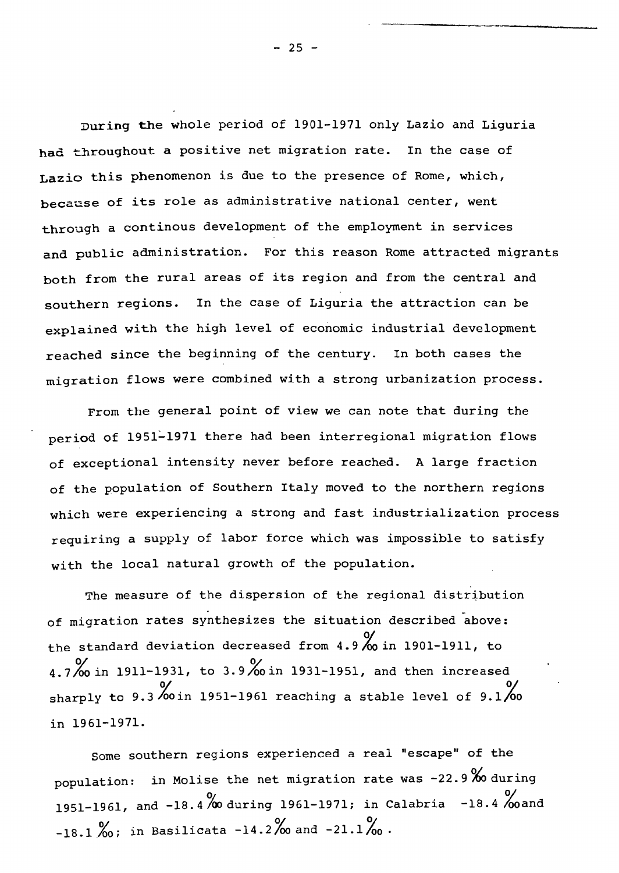During the whole period of 1901-1971 only Lazio and Liguria had throughout <sup>a</sup> positive net migration rate. In the case of Lazio this phenomenon is due to the presence of Rome, which, because of its role as administrative national center, went through a continous development of the employment in services and public administration. For this reason Rome attracted migrants both from the rural areas of its region and from the central and southern regions. In the case of Liguria the attraction can be explained with the high level of economic industrial development reached since the beginning of the century. In both cases the migration flows were combined with a strong urbanization process.

From the general point of view we can note that during the period of 1951~1971 there had been interregional migration flows of exceptional intensity never before reached. A large fraction of the population of Southern Italy moved to the northern regions which were experiencing <sup>a</sup> strong and fast industrialization process requiring <sup>a</sup> supply of labor force which was impossible to satisfy with the local natural growth of the population.

The measure of the dispersion of the regional distribution of migration rates synthesizes the situation described above: the standard deviation decreased from 4.9 % in 1901-1911, to 4.7% in 1911-1931, to 3.9% in 1931-1951, and then increased sharply to 9.3 % in 1951-1961 reaching a stable level of 9.1 % in 1961-1971.

Some southern regions experienced a real "escape" of the population: in Molise the net migration rate was  $-22.9~%$  during 1951-1961, and -18.4 % during 1961-1971; in Calabria -18.4 % oand  $-18.1\text{~}^{\circ}\!\!\!\!\!\!\!o$ ; in Basilicata  $-14.2\text{~}^{\circ}\!\!\!\!\!\!o$  and  $-21.1\text{~}^{\circ}\!\!\!\!\!o$ .

 $-25 -$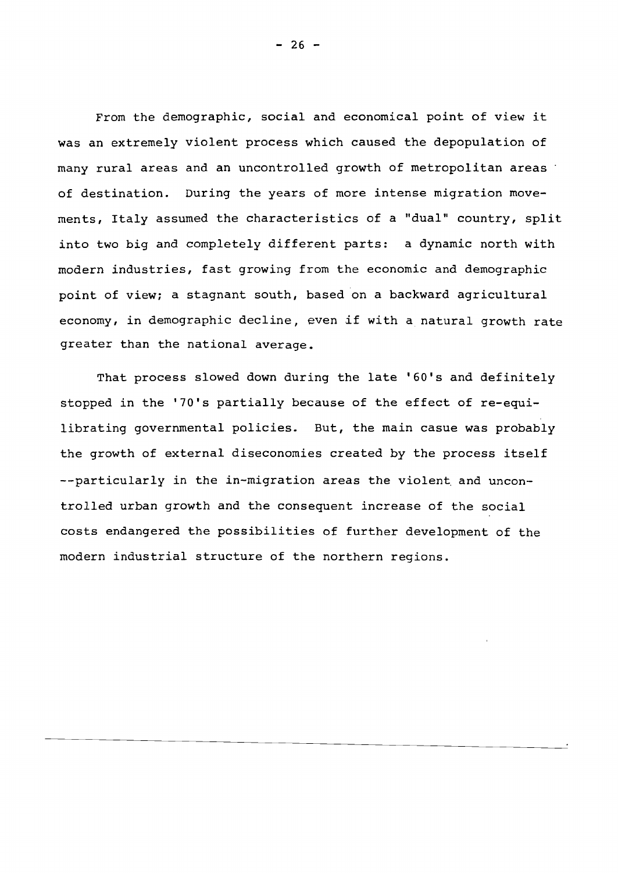From the demographic, social and economical point of view it was an extremely violent process which caused the depopulation of many rural areas and an uncontrolled growth of metropolitan areas : of destination. During the years of more intense migration movements, Italy assumed the characteristics of <sup>a</sup> "dual" country, split into two big and completely different parts: <sup>a</sup> dynamic north with modern industries, fast growing from the economic and demographic point of view; <sup>a</sup> stagnant south, based on <sup>a</sup> backward agricultural economy, in demographic decline, even if with <sup>a</sup> natural growth rate greater than the national average.

That process slowed down during the late '60's and definitely stopped in the '70's partially because of the effect of re-equilibrating governmental policies. But, the main casue was probably the growth of external diseconomies created by the process itself --particularly in the in-migration areas the violent and uncontrolled urban growth and the consequent increase of the social costs endangered the possibilities of further development of the modern industrial structure of the northern regions.

 $- 26 -$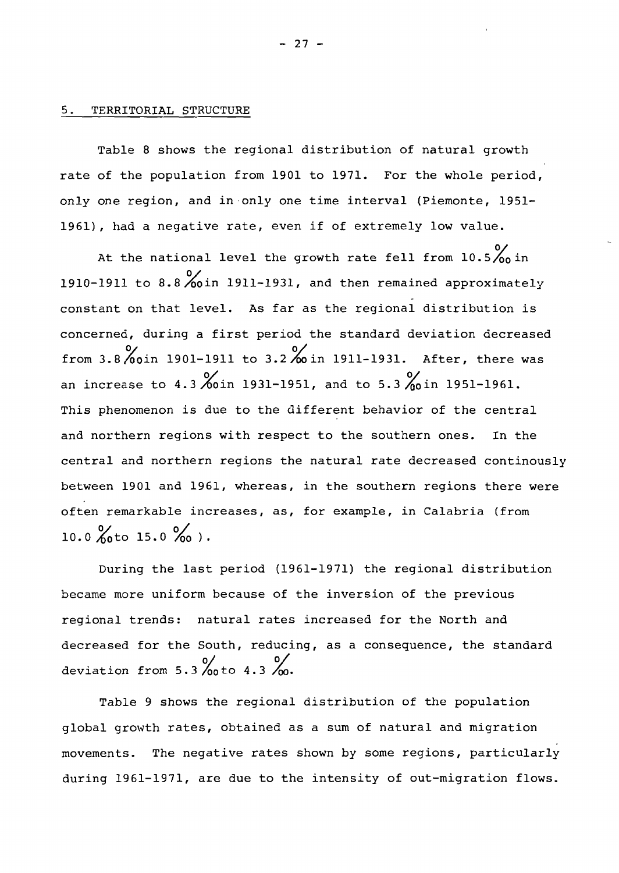### 5. TERRITORIAL STRUCTURE

Table 8 shows the regional distribution of natural growth rate of the population from 1901 to 1971. For the whole period, only one region, and in only one time interval (Piemonte, 1951- 1961), had <sup>a</sup> negative rate, even if of extremely low value.

At the national level the growth rate fell from  $10.5\frac{\text{O}}{\text{O}_0}$  in 1910-1911 to 8.8~in 1911-1931, and then remained approximately constant on that level. As far as the regional distribution is concerned, during <sup>a</sup> first period the standard deviation decreased from 3.8 %oin 1901-1911 to 3.2%in 1911-1931. After, there was an increase to 4.3 %oin 1931-1951, and to 5.3 %oin 1951-1961. This phenomenon is due to the different behavior of the central and northern regions with respect to the southern ones. In the central and northern regions the natural rate decreased continously between 1901 and 1961, whereas, in the southern regions there were often remarkable increases, as, for example, in Calabria (from  $10.0 \t{0}$  to  $15.0 \t{0}$ .

During the last period (1961-1971) the regional distribution became more uniform because of the inversion of the previous regional trends: natural rates increased for the North and decreased for the South, reducing, as a consequence, the standard deviation from  $5.3 \rightarrow 0$  oto  $4.3 \rightarrow 0$ .

Table <sup>9</sup> shows the regional distribution of the population global growth rates, obtained as <sup>a</sup> sum of natural and migration movements. The negative rates shown by some regions, particularly during 1961-1971, are due to the intensity of out-migration flows.

- 27 -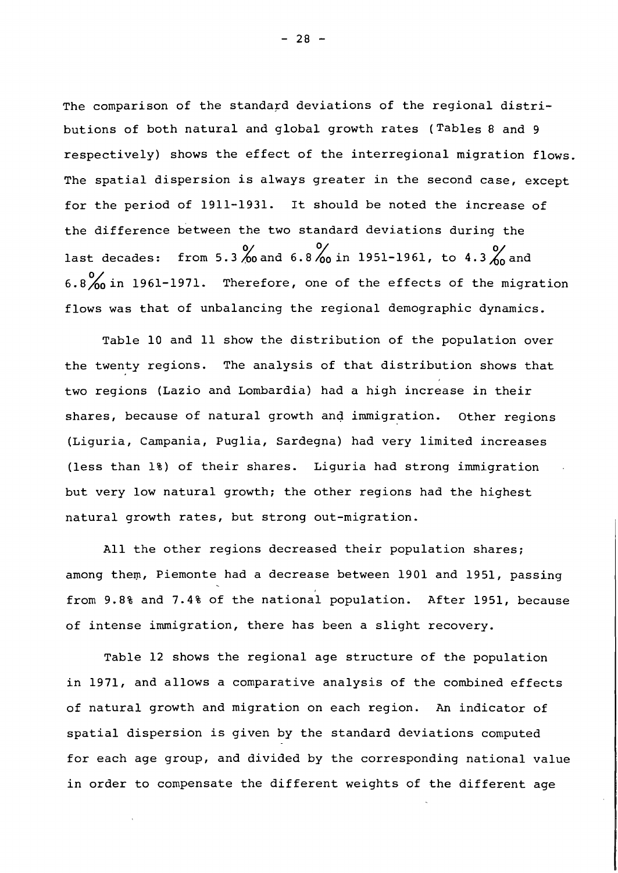The comparison of the standard deviations of the regional distributions of both natural and global growth rates (Tables <sup>8</sup> and <sup>9</sup> respectively) shows the effect of the interregional migration flows. The spatial dispersion is always greater in the second case, except for the period of 1911-1931. It should be noted the increase of the difference between the two standard deviations during the last decades: from 5.3 % and 6.8 % in 1951-1961, to 4.3 % and  $6.8\%$  in 1961-1971. Therefore, one of the effects of the migration flows was that of unbalancing the regional demographic dynamics.

Table 10 and 11 show the distribution of the population over the twenty regions. The analysis of that distribution shows that two regions (Lazio and Lombardia) had <sup>a</sup> high increase in their shares, because of natural growth and immigration. Other regions (Liguria, Campania, Puglia, Sardegna) had very limited increases (less than 1%) of their shares. Liguria had strong immigration but very low natural growth; the other regions had the highest natural growth rates, but strong out-migration.

All the other regions decreased their population shares; among them, Piemonte had a decrease between 1901 and 1951, passing from 9.8% and 7.4% of the national population. After 1951, because of intense immigration, there has been <sup>a</sup> slight recovery.

Table 12 shows the regional age structure of the population in 1971, and allows <sup>a</sup> comparative analysis of the combined effects of natural growth and migration on each region. An indicator of spatial dispersion is given by the standard deviations computed for each age group, and divided by the corresponding national value in order to compensate the different weights of the different age

 $- 28 -$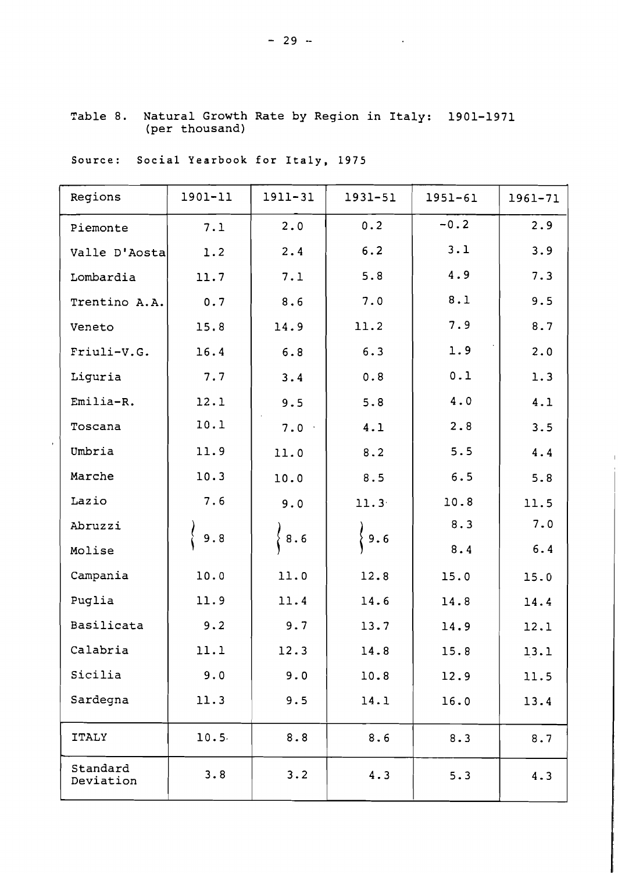| Regions               | 1901-11 | 1911-31 | 1931-51           | $1951 - 61$ | 1961-71 |
|-----------------------|---------|---------|-------------------|-------------|---------|
| Piemonte              | 7.1     | 2.0     | 0.2               | $-0.2$      | 2.9     |
| Valle D'Aosta         | 1.2     | 2.4     | 6.2               | 3.1         | 3.9     |
| Lombardia             | 11.7    | 7.1     | 5.8               | 4.9         | 7.3     |
| Trentino A.A.         | 0.7     | 8.6     | 7.0               | 8.1         | 9.5     |
| Veneto                | 15.8    | 14.9    | 11.2              | 7.9         | 8.7     |
| Friuli-V.G.           | 16.4    | 6.8     | 6.3               | 1.9         | 2.0     |
| Liguria               | 7.7     | 3.4     | 0.8               | 0.1         | 1.3     |
| $Emilia-R.$           | 12.1    | 9.5     | 5.8               | 4.0         | 4.1     |
| Toscana               | 10.1    | 7.0     | 4.1               | 2.8         | 3.5     |
| Umbria                | 11.9    | 11.0    | 8.2               | 5.5         | 4.4     |
| Marche                | 10.3    | 10.0    | 8.5               | 6.5         | 5.8     |
| Lazio                 | 7.6     | 9.0     | 11.3 <sup>°</sup> | 10.8        | 11.5    |
| Abruzzi               | 9.8     | 8.6     | 9.6               | 8.3         | 7.0     |
| Molise                |         |         |                   | 8.4         | 6.4     |
| Campania              | 10.0    | 11.0    | 12.8              | 15.0        | 15.0    |
| Puglia                | 11.9    | 11.4    | 14.6              | 14.8        | 14.4    |
| Basilicata            | 9.2     | 9.7     | 13.7              | 14.9        | 12.1    |
| Calabria              | 11.1    | 12.3    | 14.8              | 15.8        | 13.1    |
| Sicilia               | 9.0     | 9.0     | 10.8              | 12.9        | 11.5    |
| Sardegna              | 11.3    | 9.5     | 14.1              | 16.0        | 13.4    |
| <b>ITALY</b>          | 10.5    | 8.8     | 8.6               | 8.3         | 8.7     |
| Standard<br>Deviation | 3.8     | 3.2     | 4.3               | 5.3         | 4.3     |

Table 8. Natural Growth Rate by Region in Italy: 1901-1971 (per thousand)

Source: Social Yearbook for Italy, 1975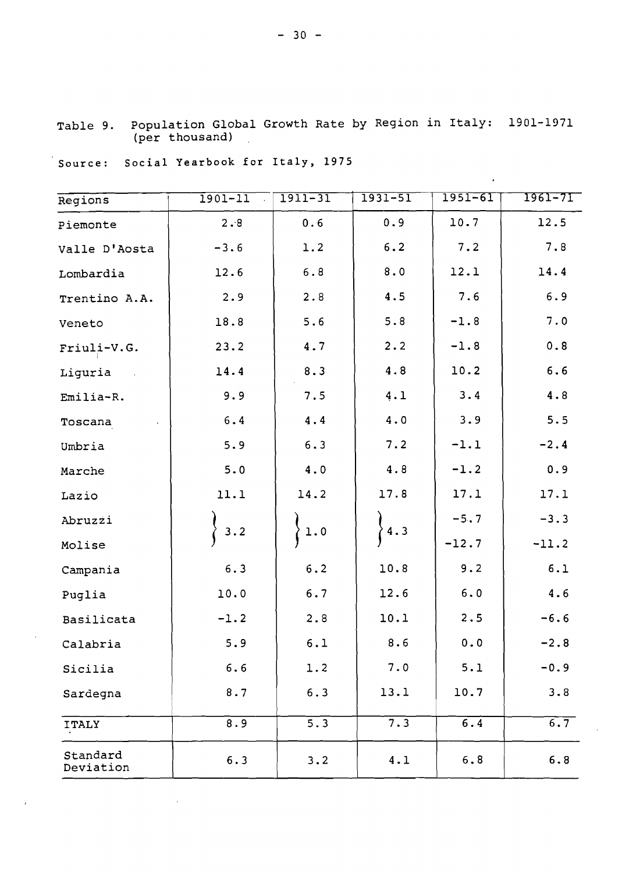| Table 9. Population Global Growth Rate by Region in Italy: 1901-1971 |  |  |  |
|----------------------------------------------------------------------|--|--|--|
| (per thousand)                                                       |  |  |  |

 $\sim$   $\sim$ 

 $\sim$ 

| Source: Social Yearbook for Italy, 1975 |  |  |  |
|-----------------------------------------|--|--|--|
|                                         |  |  |  |

 $\sim$   $\sim$ 

 $\bar{\beta}$ 

 $\bar{I}$ 

| Regions                  | $1901 - 11$<br>$\mathbb{R}^2$ | $1911 - 31$      | $1931 - 51$ | $1951 - 61$      | $1961 - 71$ |
|--------------------------|-------------------------------|------------------|-------------|------------------|-------------|
| Piemonte                 | 2.8                           | 0.6              | 0.9         | 10.7             | 12.5        |
| Valle D'Aosta            | $-3.6$                        | 1.2              | 6.2         | 7.2              | 7.8         |
| Lombardia                | 12.6                          | $6.8$            | $8.0$       | 12.1             | 14.4        |
| Trentino A.A.            | 2.9                           | 2.8              | 4.5         | 7.6              | 6.9         |
| Veneto                   | 18.8                          | 5.6              | 5.8         | $-1.8$           | 7.0         |
| Friuli-V.G.              | 23.2                          | 4.7              | 2.2         | $-1.8$           | $0.8$       |
| Liguria<br>$\sim$ $\sim$ | 14.4                          | 8.3              | 4.8         | 10.2             | $6.6$       |
| Emilia-R.                | 9.9                           | 7.5              | 4.1         | 3.4              | 4.8         |
| Toscana                  | $6.4$                         | 4.4              | 4.0         | 3.9              | 5.5         |
| Umbria                   | 5.9                           | 6.3              | 7.2         | $-1.1$           | $-2.4$      |
| Marche                   | 5.0                           | 4.0              | 4.8         | $-1.2$           | 0.9         |
| Lazio                    | 11.1                          | 14.2             | 17.8        | 17.1             | 17.1        |
| Abruzzi                  | 3.2                           | $1.0$            | 4.3         | $-5.7$           | $-3.3$      |
| Molise                   |                               |                  |             | $-12.7$          | $-11.2$     |
| Campania                 | 6.3                           | $6.2$            | 10.8        | 9.2              | 6.1         |
| Puglia                   | 10.0                          | 6.7              | 12.6        | 6.0              | 4.6         |
| Basilicata               | $-1.2$                        | 2.8              | 10.1        | 2.5              | $-6.6$      |
| Calabria                 | 5.9                           | 6.1              | 8.6         | 0.0              | $-2.8$      |
| Sicilia                  | 6.6                           | 1.2              | 7.0         | 5.1              | $-0.9$      |
| Sardegna                 | 8.7                           | 6.3              | 13.1        | 10.7             | 3.8         |
| <b>ITALY</b>             | 8.9                           | $\overline{5.3}$ | 7.3         | $\overline{6.4}$ | 6.7         |
| Standard<br>Deviation    | 6.3                           | 3.2              | 4.1         | 6.8              | 6.8         |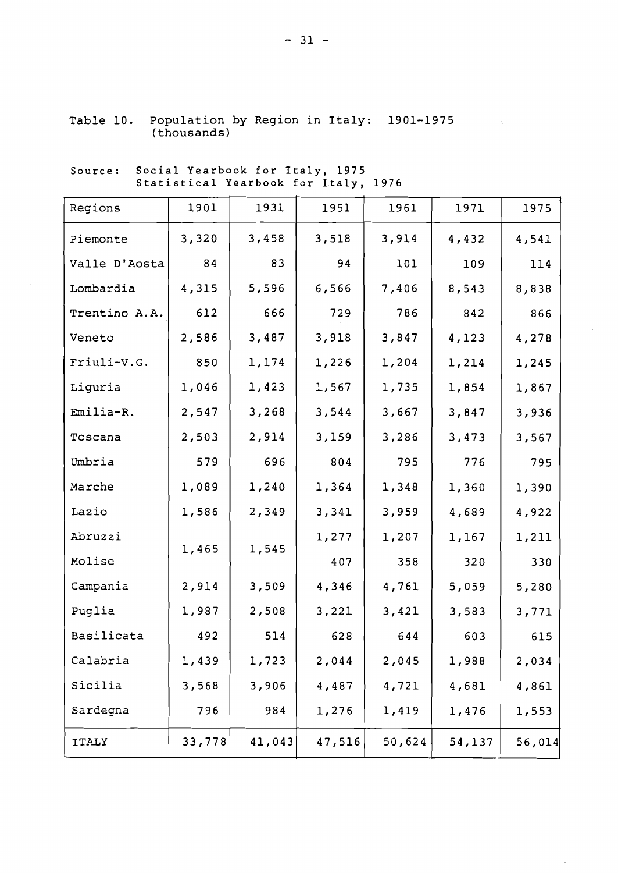| Table 10. Population by Region in Italy: 1901-1975 |  |  |  |
|----------------------------------------------------|--|--|--|
| (thousands)                                        |  |  |  |

Source: Social Yearbook for Italy. 1975 Social Tearbook for Italy, 1975<br>Statistical Yearbook for Italy, 1976

| Regions       | 1901   | 1931   | 1951   | 1961   | 1971   | 1975   |
|---------------|--------|--------|--------|--------|--------|--------|
| Piemonte      | 3,320  | 3,458  | 3,518  | 3,914  | 4,432  | 4,541  |
| Valle D'Aosta | 84     | 83     | 94     | 101    | 109    | 114    |
| Lombardia     | 4,315  | 5,596  | 6,566  | 7,406  | 8,543  | 8,838  |
| Trentino A.A. | 612    | 666    | 729    | 786    | 842    | 866    |
| Veneto        | 2,586  | 3,487  | 3,918  | 3,847  | 4,123  | 4,278  |
| Friuli-V.G.   | 850    | 1,174  | 1,226  | 1,204  | 1,214  | 1,245  |
| Liguria       | 1,046  | 1,423  | 1,567  | 1,735  | 1,854  | 1,867  |
| Emilia-R.     | 2,547  | 3,268  | 3,544  | 3,667  | 3,847  | 3,936  |
| Toscana       | 2,503  | 2,914  | 3,159  | 3,286  | 3,473  | 3,567  |
| Umbria        | 579    | 696    | 804    | 795    | 776    | 795    |
| Marche        | 1,089  | 1,240  | 1,364  | 1,348  | 1,360  | 1,390  |
| Lazio         | 1,586  | 2,349  | 3,341  | 3,959  | 4,689  | 4,922  |
| Abruzzi       | 1,465  | 1,545  | 1,277  | 1,207  | 1,167  | 1,211  |
| Molise        |        |        | 407    | 358    | 320    | 330    |
| Campania      | 2,914  | 3,509  | 4,346  | 4,761  | 5,059  | 5,280  |
| Puglia        | 1,987  | 2,508  | 3,221  | 3,421  | 3,583  | 3,771  |
| Basilicata    | 492    | 514    | 628    | 644    | 603    | 615    |
| Calabria      | 1,439  | 1,723  | 2,044  | 2,045  | 1,988  | 2,034  |
| Sicilia       | 3,568  | 3,906  | 4,487  | 4,721  | 4,681  | 4,861  |
| Sardegna      | 796    | 984    | 1,276  | 1,419  | 1,476  | 1,553  |
| <b>ITALY</b>  | 33,778 | 41,043 | 47,516 | 50,624 | 54,137 | 56,014 |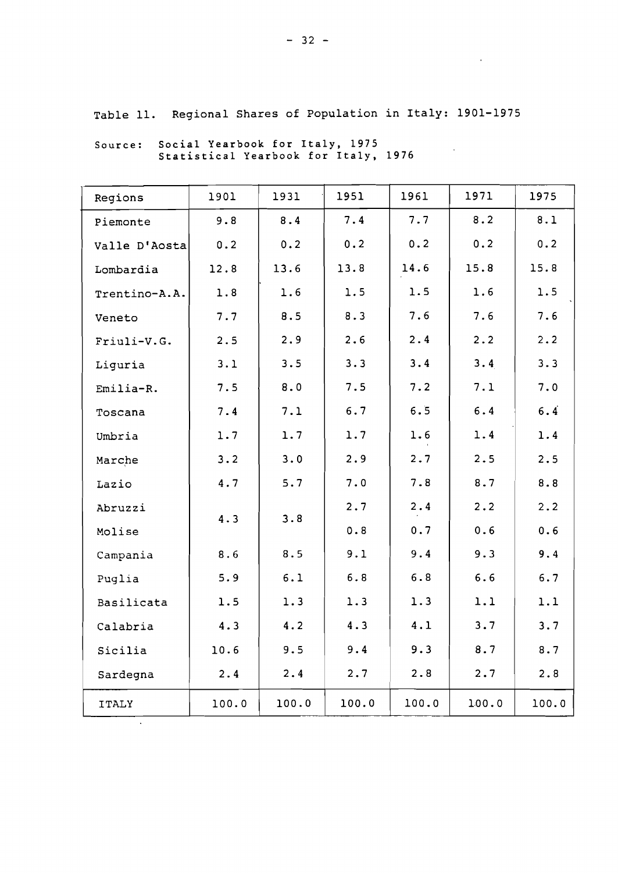Table 11. Regional Shares of Population in Italy: 1901-1975

| Regions       | 1901  | 1931  | 1951  | 1961  | 1971   | 1975  |
|---------------|-------|-------|-------|-------|--------|-------|
| Piemonte      | 9.8   | 8.4   | 7.4   | 7.7   | 8.2    | 8.1   |
| Valle D'Aosta | 0.2   | 0.2   | 0.2   | 0.2   | 0.2    | 0.2   |
| Lombardia     | 12.8  | 13.6  | 13.8  | 14.6  | 15.8   | 15.8  |
| Trentino-A.A. | 1.8   | 1.6   | 1.5   | 1.5   | 1.6    | 1.5   |
| Veneto        | 7.7   | 8.5   | 8.3   | 7.6   | 7.6    | 7.6   |
| Friuli-V.G.   | 2.5   | 2.9   | 2.6   | 2.4   | 2.2    | 2.2   |
| Liguria       | 3.1   | 3.5   | 3.3   | 3.4   | 3.4    | 3.3   |
| $Emilia-R.$   | 7.5   | 8.0   | 7.5   | 7.2   | 7.1    | 7.0   |
| Toscana       | 7.4   | 7.1   | 6.7   | 6.5   | 6.4    | 6.4   |
| Umbria        | 1.7   | 1.7   | 1.7   | 1.6   | 1.4    | 1.4   |
| Marche        | 3.2   | 3.0   | 2.9   | 2.7   | 2.5    | 2.5   |
| Lazio         | 4.7   | 5.7   | 7.0   | 7.8   | 8.7    | 8.8   |
| Abruzzi       |       | 3.8   | 2.7   | 2.4   | 2.2    | 2.2   |
| Molise        | 4.3   |       | 0.8   | 0.7   | 0.6    | 0.6   |
| Campania      | 8.6   | 8.5   | 9.1   | 9.4   | 9.3    | 9.4   |
| Puglia        | 5.9   | 6.1   | $6.8$ | $6.8$ | 6.6    | 6.7   |
| Basilicata    | 1.5   | 1.3   | 1.3   | 1.3   | 1.1    | 1.1   |
| Calabria      | 4.3   | 4.2   | 4.3   | 4.1   | 3.7    | 3.7   |
| Sicilia       | 10.6  | 9.5   | 9.4   | 9.3   | 8.7    | 8.7   |
| Sardegna      | 2.4   | 2.4   | 2.7   | 2.8   | 2.7    | 2.8   |
| <b>ITALY</b>  | 100.0 | 100.0 | 100.0 | 100.0 | 1.00.0 | 100.0 |

Source: Social Yearbook for Italy, 1975 Statistical Yearbook for Italy, 1976  $\mathcal{L}^{\text{max}}_{\text{max}}$  and  $\mathcal{L}^{\text{max}}_{\text{max}}$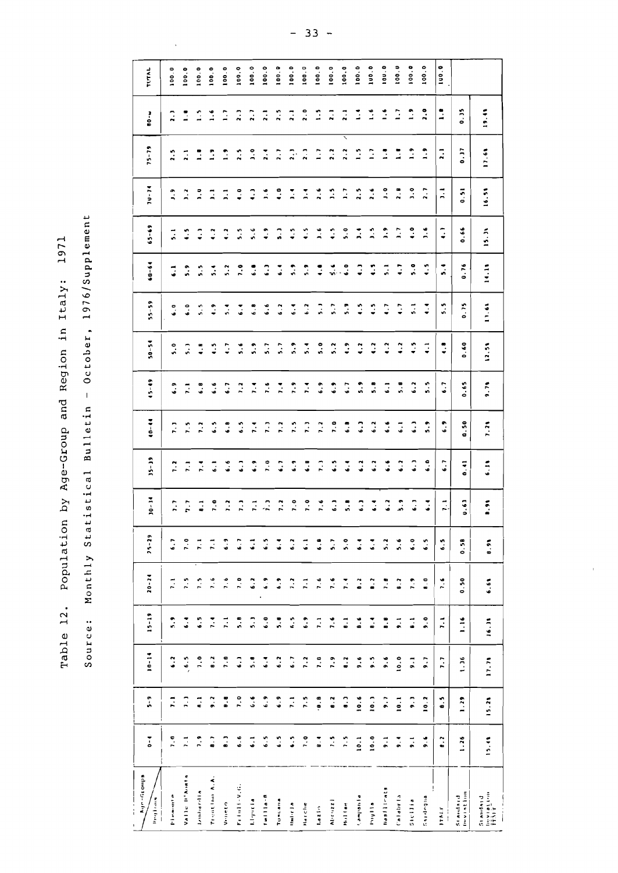Monthly Statistical Bulletin - October, 1976/Supplement Source: Monthly Statistical Bulletin - October, 1976/Supplement Population by Age-Group and Region in Italy: 1971 Table 12. Population by Age-Group and Region in Italy: 1971 Table 12. Source:

100.0 100.0  $\frac{1}{2}$ 100.0 100.0 100.0  $100.0$ 100.0 100.0 100.0  $100.0$ 100.0  $100.0$ 100.0 100.0 100.0 100.0 TUTAL 100.0 100.0 100.0 100.0 I 1.6 10U.0 \ 9.4 10.1 10.0 9.1 1.2 5.6 5.9 6.2 6.1 5.B 4.2 4.1 4.1 1.1 2.B 1.1 1.1 100.U 9.1 | 9.1 | 8.1 | 8.1 | 6.9 | 6.7 | 6.7 | 6.7 | 6.7 | 5.7 | 5.7 | 5.0 | 6.7 | 5.0 | 6.7 | 1.9 | 1.9 | 1.9 | 1.9 ~'H .I"'~rla 9.6 10.2 9.1 9.0 B.O 6.5 6.4 6.0 5.9 5.5 4. I 4.4 4.5 ),6 2.1 1.9 2.0 100.0 Il"'d.'r' B.2 8.5 1.1 1. I 7.6 6.5 ~. I 6.1 6.9 6.1 4.B 5.5 5.4 4. I ),1 2.1 1.1 1UO.0 V"ITC (1.9 | 8.8 | 7.8 | 7.6 | 6.9 | 6.8 | 6.8 | 6.7 | 6.7 | 6.7 | 6.7 | 6.7 | 6.7 | 6.2 | 1.9 | 1.9 | 1.9 | 1.9 | 1.9 | 1.9 | 1.9 | 1.9 | 1.9 | 1.9 | 1.9 | 1.9 | 1.9 | 1.9 | 1.9 | 1.9 | 1.9 | 1.9 | 1.9 | 1.9 | 1.9 | 1.9 | f. j u II - V. (~. I 6.6 1.0 6.) 5.8 7.0 6.7 5.5 4.0 2.5 2.) 100.0 0.10 10.1 6.1 6.8 | 6.8 | 6.7 | 6.9 | 6.7 | 5.7 | 5.7 | 6.9 | 6.7 | 5.7 | 6.1 | 7.1 | 5.1 | 7.1 | 5.6 | 6.9 | 6.8 | 6.1 | 7.1 | 6.1 | 5.1 | 5.1 | 5.6 | 6.9 | 6.2 | 5.6 | 5.6 | 6.9 | 5.6 | 5.6 | 5.6 | 5.6 | 5.6 | 5.6 | 5.6 rl1i'il I I a·" I 6.5 6.9 6.4 6.0 6.9 6.5 *i.)* 1.0 1. ) 1.6 5.1 6.6 6. } 4.9 1.6 2.4 2.1 100.0 Tureau.a | 6.5 | 6.2 | 6.3 | 6.4 | 6.4 | 6.7 | 6.7 | 6.7 | 6.2 | 6.4 | 6.2 | 6.4 | 6.2 | 6.3 | 4.0 | 7.2 | 2.5<br>Tureau.a | 6.5 | 6.4 | 6.4 | 6.4 | 6.7 | 6.7 | 6.7 | 6.2 | 6.4 | 6.2 | 6.4 | 6.2 | 6.4 | 6.2 | 6.2 | 6.2 | 6.2 | 6.5 | 7.1 | 6.7 | 6.3 | 7.0 | 6.9 | 7.5 | 7.9 | 5.9 | 6.4 | 5.9 | 4.5 | 7.4 | 7.1 | 2.1 | 100.0<br>| 1.0 | 7.5 | 6.9 | 7.1 | 6.1 | 7.0 | 6.8 | 7.1 | 7.4 | 5.4 | 6.2 | 7.9 | 4.5 | 7.1 | 2.1 | 2.1 | 2.0 | 100.0<br>| 1.5 | 7.2 | DISTURBATION 2.0 1.2 6.9 1.2 6.9 1.2 1.2 6.9 1.2 6.9 1.2 1.4 1.5 1.4 1.5 1.4 1.5 1.4 1.6 1.7 .9 1.2 1.4 1.7 2.<br>District in the state of the state of the state of the state of the state of the state of the state of the stat Lazin | 8.4 | 9.8 | 7.6 | 6.8 | 7.6 | 7.5 | 7.7 | 6.9 | 6.9 | 6.9 | 1.5 | 1.5 | 1.5 | 1.5 | 1.5 | 1.5 | 1.00.0 0.00.0 1.9 1.9 1.9 1.6 1.6 5.7 6.5 6.9 5.2 5.7 5.4 5.9 5.4 3.2 3.4 1.0 1.00.0 .d' 1.5 | 1.5 | 1.5 | 1.5 | 1.5 | 1.9 | 1.9 | 1.9 | 1.9 | 1.9 | 1.9 | 1.9 | 1.9 | 1.9 | 1.9 | 1.2 | 1.2 | 2.1<br>Dosa I 10.1 10.6 9.6 8.6 8.2 6.4 6.} 6.2 6. } 5.9 4.2 4.5 4.} ).4 2.5 1.5 1.4 100.0 India 1 1.6 1.2 4.5 4.5 4.5 4.5 4.7 4.9 4.7 4.9 4.7 4.9 4.8 4.5 4.5 4.5 4.5 4.5 4.5 4.6 4.5 4.6 4.6 4.6 4.6 4.6 "... "~.:::::::,,,. 0-4 5- 9 10-14 15-19 20- 24 '5-29 )0-14 )5-)9 40-44 45-49 50-54 55-59 60-64 65-69 lU-14 15-19 IIO-w TVTI\L 1'1 ..1,,,'"' P 1.0 1. I 6.2 5.9 1. I 6.1 1.1 1.2 1. ) 6.9 5.0 6.0 6.1 5. I J.9 2.5 2. ) 100.0 v .. I Ie II' " ••",t., 1.1 1 . ) \_ 6.5 6.4 1.5 1.0 1.1 1.1 1.5 1.1 5. ) 6.0 5.9 4.5 *),1* 2.1 1.1 100.0 l",lIlll'd rd 1110 1.9 •. I 1.0 6.5 1.5 1.1 8.1 1.4 1.2 6.B 4.B 5.5 5.5 4.) ),U 1.1 1.5 100.0 Tr (2000) ". A. A. A. 8.7 | 2.7 | 2.7 | 2.9 | 2.9 | 4.5 | 4.5 | 4.5 | 4.9 | 4.9 | 4.9 | 4.9 | 1.4 | 1.4 | 1.4 | 19.44  $\ddot{ }$  $\ddot{ }$ : O. )5  $\mathbb{C}$  $\mathbb{R}^2$  $\overline{2}$ .  $\frac{1}{2}$  $\overline{2}$ .  $\ddot{2}$ .  $\frac{1}{2}$  $\overline{z}$  $\overline{1}$ Ξ  $\frac{1}{2}$  $\mathbf{L}$  $\overline{a}$  $\ddot{\cdot}$  $\ddot{z}$  $\hat{\mathbb{C}}$  $\ddot{\phantom{0}}$  $\overline{a}$ ~l .,,,1.. J I 19.n 1!'~'~la~I"lI 15.4\ 15.2\ 11.1\ 16.H 6.6\ B. " B." 6.1\ 1.2\ 9.1\ 12.5\ 11.6l 14.1\ 15. l\ 16.5' 11.6\  $\frac{1}{2}$  $\frac{1}{2}$  $75 - 79$  $\mathbf{r}$  $0.37$ 17.68  $\ddot{ }$  $\ddot{a}$  $\ddot{ }$ .  $\frac{1}{2}$  $\mathbb{R}$ ្នោះ និ  $\mathbb{R}$  $\ddot{z}$  $\ddot{ }$ :  $\mathbb{R}$  $\ddot{ }$  $\mathbb{Z}$  $\ddot{ }$ :  $\ddot{ }$ :  $\overline{2}$ .  $\frac{2}{2}$  $\mathbb{R}$  $\ddot{\phantom{a}}$ I 9. I 9.1 9.6 B.B 7.B 5.2 6.2 6.6 6.6 6.1 4.2 4.1 5.1 1.9 ),0 I.B  $~^{51}$   $~^{61}$   $~^{61}$   $~^{61}$   $~^{11}$   $~^{11}$   $~^{11}$   $~^{11}$   $~^{11}$   $~^{11}$   $~^{11}$   $~^{11}$   $~^{0}$   $~^{0}$   $~^{0}$   $~^{0}$   $~^{0}$   $~^{0}$   $~^{0}$   $~^{0}$   $~^{0}$   $~^{0}$   $~^{0}$   $~^{0}$   $~^{0}$   $~^{0}$   $~^{0}$   $~^{0}$   $~^{0}$   $~^{0}$  $74 - 74$  $\frac{1}{2}$  $0.51$ 16.51  $3.2$  $\frac{1}{2}$   $\frac{1}{2}$  $\overline{z}$  $\ddot{\cdot}$  $\ddot{\cdot}$  $2.6$  $\frac{1}{2}$  $\mathbb{R}$  $\ddot{2}$ .  $2.6$  $\ddot{\cdot}$  $\overline{2}$ .  $\ddot{ }$ .  $\ddot{ }$  $\sqrt{2}$  $\ddot{a}$  $\mathbb{R}$ . \_--- ----------- ~. \_.  $65 - 69$  $0.66$  $15.36$  $\ddot{\cdot}$  $\ddot{\phantom{0}}$ G  $\ddot{\cdot}$  $\ddot{ }$ ه.<br>م ़ैं  $\tilde{a}$  $\ddot{\cdot}$  $\ddot{z}$  $\ddot{ }$ .  $\ddot{\cdot}$  $\ddot{\cdot}$  $\ddot{a}$  $\ddot{ }$ .  $\ddot{ }$ .  $\mathbb{R}$  $\ddot{\cdot}$ Ċ  $\ddot{ }$  $\frac{1}{2}$  $60 - 64$ 14.14  $0.76$  $\ddot{\cdot}$  $\ddot{\phantom{a}}$  $\ddot{\cdot}$  $\frac{1}{2}$ Ģ  $\ddot{\cdot}$  $\ddot{\cdot}$  $\ddot{a}$  $\ddot{ }$  $\ddot{5}$ .  $7.0$  $\ddot{5}$ .  $\ddot{\cdot}$  $\ddot{\cdot}$  $\ddot{a}$  $\mathbb{C}$  $\ddot{ }$  $\ddot{ }$ I 1. } 6. } 6.5 7.2 5.6 6.4 1.0 ះ ु  $\ddot{\cdot}$  $5 - 59$  $\ddot{\cdot}$  $\ddot{s}$ .  $\ddot{\cdot}$  $\ddot{a}$  $\ddot{\cdot}$  $\ddot{\bullet}$  $\ddot{\cdot}$  $\tilde{a}$  $\ddot{\cdot}$  $\ddot{\cdot}$  $\frac{1}{2}$  $\ddot{ }$  $\ddot{\cdot}$  $\ddot{\cdot}$  $\ddot{\cdot}$  $\ddot{\cdot}$  $\ddot{\cdot}$  $\overline{5}$ .  $\ddot{\cdot}$  $\ddot{5}$ .  $0.75$  $11.61$  $\ddot{\bullet}$  $50 - 54$  $\ddot{\phantom{0}}$  $\ddot{5}$ . 0  $\ddot{\cdot}$  $\ddot{\cdot}$  $\ddot{\cdot}$  $\ddot{\cdot}$  $\ddot{\cdot}$  $0.60$  $\ddot{\cdot}$  $\ddot{\cdot}$  $\overline{\phantom{a}}$  $\ddot{\cdot}$  $\ddot{\cdot}$  $5.2$  $\ddot{\cdot}$  $\ddot{\cdot}$  $\ddot{\cdot}$  $12.51$  $\ddot{\cdot}$  $\overline{5}$ .  $\ddot{\cdot}$  $\ddot{\cdot}$ G  $45 - 49$  $\ddot{\cdot}$  $\overline{a}$  $\ddot{\cdot}$  $0.65$  $9.71$  $\ddot{ }$  $\ddot{ }$  $\ddot{z}$  $\ddot{ }$ .  $\ddot{ }$  $\ddot{\cdot}$  $\ddot{\cdot}$  $\frac{1}{2}$  $\ddot{\cdot}$  $\ddot{6}$  $\ddot{\cdot}$  $\ddot{\bullet}$ .  $\ddot{\bullet}$  $\overline{z}$  $\ddot{\cdot}$  $\ddot{\cdot}$  $\ddot{\phantom{0}}$  $\ddot{ }$  $-40 - 44$  $\ddot{z}$  $\frac{1}{2}$  $\ddot{ }$  $\frac{1}{2}$  $\frac{1}{2}$  $\overline{r}$ .  $\ddot{\cdot}$  $\ddot{\cdot}$  $\ddot{\bullet}$ .  $\ddot{\bullet}$ .  $\overline{\cdot}$  $\ddot{\cdot}$  $0.50$  $\begin{bmatrix} 1 & 1 \\ 2 & 1 \end{bmatrix}$  $\frac{2}{\sqrt{2}}$  $\frac{1}{6}$  $\ddot{\cdot}$  $\mathbb{R}^2$  $\ddot{\cdot}$  $\ddot{\bullet}$ .  $7.21$  $\ddot{\bullet}$  $35 - 39$  $\ddot{ }$  $\ddot{\cdot}$ 6.10  $\mathbb{R}^2$  $\ddot{\cdot}$ G  $\ddot{\cdot}$  $\ddot{\cdot}$  $\ddot{\phantom{0}}$  $\ddot{\cdot}$  $\ddot{\cdot}$  $\ddot{\cdot}$  $\ddot{\cdot}$  $\ddot{\bullet}$  $\ddot{\cdot}$  $\ddot{\cdot}$  $\ddot{\cdot}$  $\frac{2}{1}$  $\tilde{z}$  $\overline{a}$  $\ddot{\cdot}$  $\overline{a}$  $\ddot{\cdot}$ I 1.6 1. )  $30 - 34$  $\mathbb{R}$  $\ddot{ }$ .  $\mathbf{r}$  $\vec{z}$  $\mathbb{R}$  $\ddot{ }$  $\ddot{ }$ ,  $\ddot{ }$  $\ddot{ }$ .  $7.6$  $\ddot{\cdot}$  $\ddot{5}$  $\ddot{\cdot}$  $\ddot{\cdot}$  $\ddot{\bullet}$  $\ddot{\cdot}$  $\overline{\cdot}$  $\ddot{\cdot}$  $\frac{1}{2}$ '---.  $\mathbb{R}^2$  $\frac{1}{2}$  $\overline{1}$ .  $\ddot{ }$ .  $25 - 25$  $\mathbb{R}^2$  $0.58$  $6.7$  $\mathbb{R}^2$  $\ddot{\bullet}$ .  $\ddot{\phantom{0}}$  $\overline{\phantom{a}}$  $\ddot{\cdot}$  $\ddot{\cdot}$  $\ddot{\cdot}$  $\overline{a}$  $\ddot{\cdot}$  $5.7$  $\ddot{\cdot}$  $\ddot{\cdot}$  $\ddot{\cdot}$  $5.2$  $\ddot{5}$ .  $\ddot{\cdot}$  $6.3$  $\ddot{\bullet}$  $6.91$  $-15-19$   $-15-19$   $-15-19$   $-15-19$  $20 - 24$  $\ddot{\cdot}$  $0.50$  $\frac{5}{2}$  $\ddot{ }$  $\ddot{ }$ .  $\ddot{\cdot}$  $\frac{6}{2}$  $\ddot{\bullet}$  $\ddot{\cdot}$  $\ddot{a}$  $\mathbb{R}$  $\mathbf{r}$ .  $\ddot{2}$  $\tilde{z}$ G  $\ddot{\cdot}$  $\ddot{\phantom{0}}$  $\ddot{ }$  $\ddot{ }$  $\ddot{\phantom{0}}$  $\overline{2}$ .  $6.61$  $\mathbb{R}$  $15 - 19$  $\ddot{\bullet}$  $\ddot{z}$  $\ddot{\cdot}$  $\ddot{\cdot}$  $\ddot{\bullet}$ .  $\ddot{\cdot}$  $\ddot{\cdot}$  $7.6$  $\ddot{ }$ .  $\overline{\phantom{a}}$  $\ddot{\bullet}$ .  $\mathbf{r}$ 1.16 16.31  $\frac{9}{16}$  $\frac{1}{2}$  $\mathbb{R}^2$  $\ddot{\bullet}$  $\mathbb{R}$  $\overline{\cdot}$  $\ddot{\bullet}$  $\ddot{\cdot}$  $\ddot{\bullet}$  $10 - 14$  $6.5$  $7.0$  $\ddot{\phantom{0}}$  $\overline{2}$ .  $\ddot{\cdot}$  $\ddot{ }$  $\ddot{\cdot}$  $\overline{2}$  $\ddot{\bullet}$  $\overline{\phantom{0}}$  $\ddot{\bullet}$ .  $\ddot{6}$ .  $\ddot{\cdot}$  $7.0$  $7.9$  $\ddot{\bullet}$  $\ddot{\cdot}$ 10.0  $17.71$  $9.6$  $\ddot{\cdot}$  $\overline{1}$  $\frac{36}{2}$  $\overline{z}$   $\overline{z}$  $\frac{1}{2}$  $\frac{2}{9}$ .  $\frac{8}{9}$  $\ddot{ }$ .  $\ddot{\cdot}$  $\ddot{\cdot}$  $\ddot{\bullet}$ .  $\tilde{\mathcal{L}}$  $7.5$  $\ddot{\bullet}$ .  $\ddot{\phantom{0}}$  $10.6$  $\overline{10.1}$  $\ddot{\cdot}$  $10.1$  $\ddot{ }$  $\ddot{\cdot}$  $10.2$  $15.21$  $5 - 9$  $\ddot{\bullet}$ .5  $1.29$  $10.0$  $\frac{1}{2}$  $\ddot{ }$  $\frac{1}{2}$  $\sqrt{2}$  $6.6$  $\overline{\cdot}$  $\ddot{\cdot}$  $\ddot{\bullet}$  $\ddot{\bullet}$  $\begin{array}{c}\n\bullet \\
\bullet \\
\bullet \\
\bullet\n\end{array}$  $\frac{1}{2}$  $10.1$  $\overline{\cdot}$  $\ddot{\cdot}$  $\ddot{\cdot}$  $15.41$  $\overline{\phantom{a}}$  $\ddot{\bullet}$  $\ddot{\bullet}$  $\frac{1}{26}$ I  $\overline{\phantom{a}}$ Right-Groups Valle II' Nonta ",,,,,,,,,,,,,,,,,,,, Trentlin A.A. Fritaillevich lid all Irrata .- Donbardla Standard<br>Inviation<br>TRN Y Standard<br>Deviation **Pleasure** Twillia-R Calabria Vertical '~11II"d,..(tI  $\frac{1}{2}$ Lihyutia Alicitazz) ......1'5111 d ("1111 ctbr 1,1 **Stellia Bubapit** Tuncana **Ellipin** Narche Noller IIl1d'r J III  $last(n)$ ---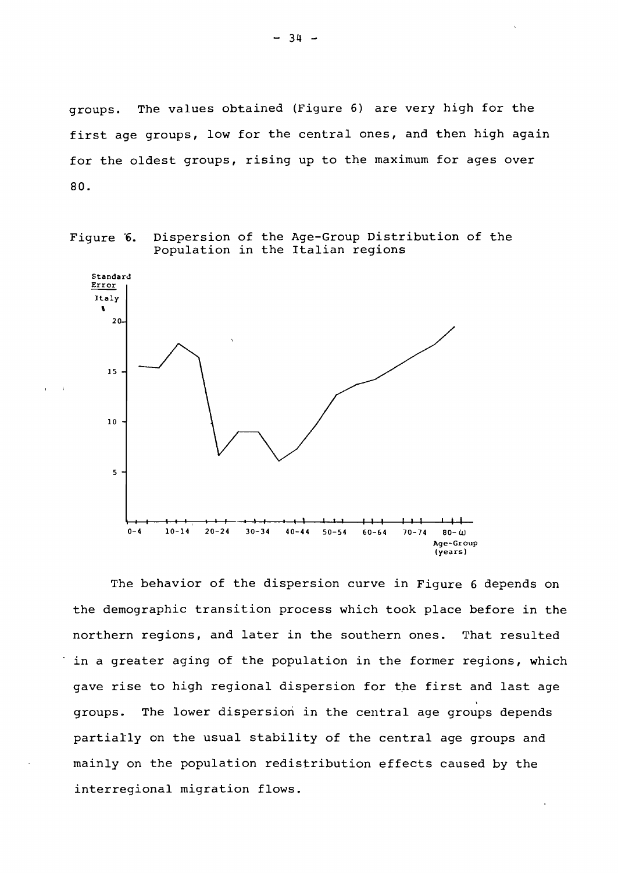groups. The values obtained (Figure 6) are very high for the first age groups, low for the central ones, and then high again for the oldest groups, rising up to the maximum for ages over 80.





The behavior of the dispersion curve in Figure 6 depends on the demographic transition process which took place before in the northern regions, and later in the southern ones. That resulted in a greater aging of the population in the former regions, which gave rise to high regional dispersion for the first and last age groups. The lower dispersion in the central age groups depends partially on the usual stability of the central age groups and mainly on the population redistribution effects caused by the interregional migration flows.

- 34 -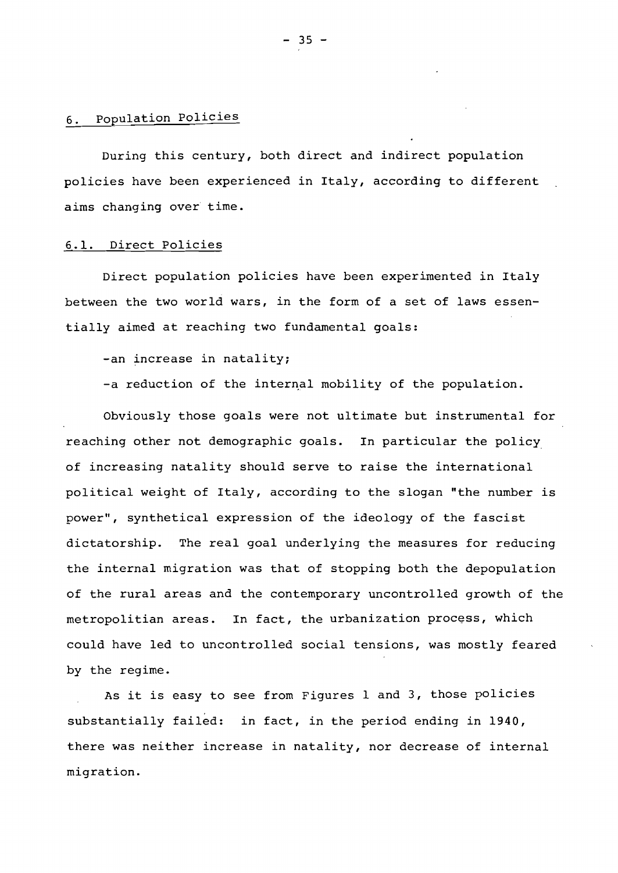# 6. population policies

During this century, both direct and indirect population policies have been experienced in Italy, according to different aims changing over time.

## 6.1. Direct Policies

Direct population policies have been experimented in Italy between the two world wars, in the form of a set of laws essentially aimed at reaching two fundamental goals:

-an increase in natality;

-a reduction of the internal mobility of the population.

Obviously those goals were not ultimate but instrumental for reaching other not demographic goals. In particular the policy. of increasing natality should serve to raise the international political weight of Italy, according to the slogan "the number is power", synthetical expression of the ideology of the fascist dictatorship. The real goal underlying the measures for reducing the internal migration was that of stopping both the depopulation of the rural areas and the contemporary uncontrolled growth of the metropolitian areas. In fact, the urbanization process, which could have led to uncontrolled social tensions, was mostly feared by the regime.

As it is easy to see from Figures <sup>1</sup> and 3, those policies substantially failed: in fact, in the period ending in 1940, there was neither increase in natality, nor decrease of internal migration.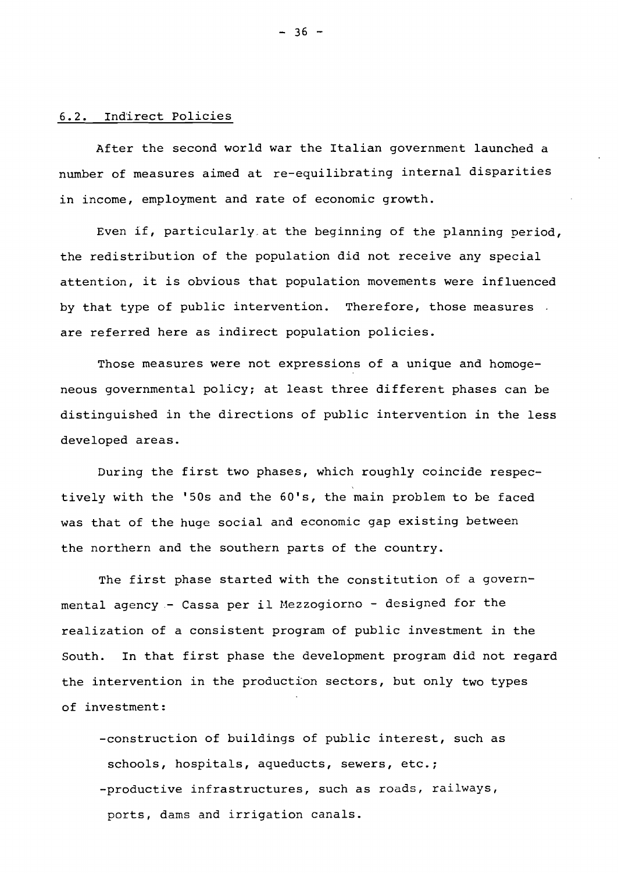# 6.2. Indirect Policies

After the second world war the Italian government launched <sup>a</sup> number of measures aimed at re-equilibrating internal disparities in income, employment and rate of economic growth.

Even if, particularly, at the beginning of the planning period, the redistribution of the population did not receive any special attention, it is obvious that population movements were influenced by that type of public intervention. Therefore, those measures. are referred here as indirect population policies.

Those measures were not expressions of a unique and homogeneous governmental policy; at least three different phases can be distinguished in the directions of public intervention in the less developed areas.

During the first two phases, which roughly coincide respectively with the '50s and the 60's, the main problem to be faced was that of the huge social and economic gap existing between the northern and the southern parts of the country.

The first phase started with the constitution of <sup>a</sup> governmental agency- Cassa per il Mezzogiorno - designed for the realization of <sup>a</sup> consistent program of public investment in the South. In that first phase the development program did not regard the intervention in the production sectors, but only two types of investment:

-construction of buildings of public interest, such as schools, hospitals, aqueducts, sewers, etc.; -productive infrastructures, such as roads, railways, ports, dams and irrigation canals.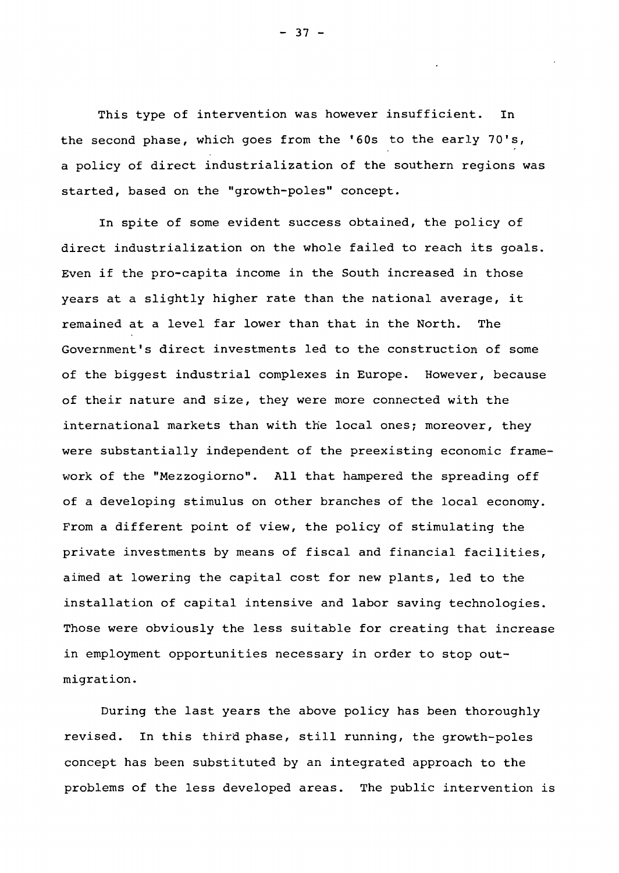This type of intervention was however insufficient. In the second phase, which goes from the '60s to the early 70's, <sup>a</sup> policy of direct industrialization of the southern regions was started, based on the "growth-poles" concept.

In spite of some evident success obtained, the policy of direct industrialization on the whole failed to reach its goals. Even if the pro-capita income in the South increased in those years at <sup>a</sup> slightly higher rate than the national average, it remained at <sup>a</sup> level far lower than that in the North. The Government's direct investments led to the construction of some of the biggest industrial complexes in Europe. However, because of their nature and size, they were more connected with the international markets than with the local ones; moreover, they were substantially independent of the preexisting economic framework of the "Mezzogiorno". All that hampered the spreading off of a developing stimulus on other branches of the local economy. From a different point of view, the policy of stimulating the private investments by means of fiscal and financial facilities, aimed at lowering the capital cost for new plants, led to the installation of capital intensive and labor saving technologies. Those were obviously the less suitable for creating that increase in employment opportunities necessary in order to stop outmigration.

During the last years the above policy has been thoroughly revised. In this third phase, still running, the growth-poles concept has been substituted by an integrated approach to the problems of the less developed areas. The public intervention is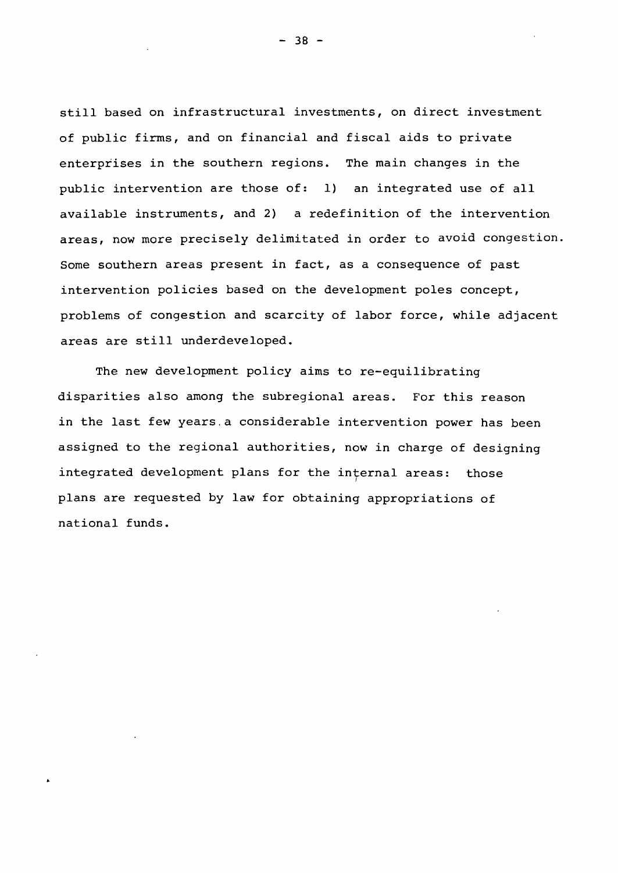still based on infrastructural investments, on direct investment of public firms, and on financial and fiscal aids to private enterprises in the southern regions. The main changes in the public intervention are those of: 1) an integrated use of all available instruments, and 2) a redefinition of the intervention areas, now more precisely delimitated in order to avoid congestion. Some southern areas present in fact, as a consequence of past intervention policies based on the development poles concept, problems of congestion and scarcity of labor force, while adjacent areas are still underdeveloped.

The new development policy aims to re-equilibrating disparities also among the subregional areas. For this reason in the last few years. <sup>a</sup> considerable intervention power has been assigned to the regional authorities, now in charge of designing integrated development plans for the internal areas: those plans are requested by law for obtaining appropriations of national funds.

- 38 -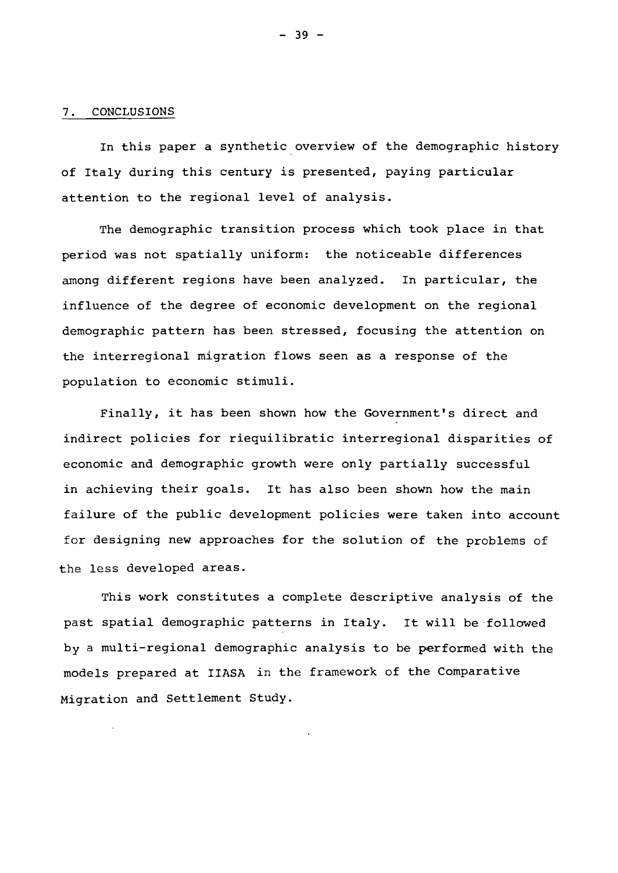### 7. CONCLUSIONS

In this paper <sup>a</sup> synthetic overview of the demographic history of Italy during this century is presented, paying particular attention to the regional level of analysis.

The demographic transition process which took place in that period was not spatially uniform: the noticeable differences among different regions have been analyzed. In particular, the influence of the degree of economic development on the regional demographic pattern has been stressed, focusing the attention on the interregional migration flows seen as a response of the population to economic stimuli.

Finally, it has been shown how the Government's direct and indirect policies for riequilibratic interregional disparities of economic and demographic growth were only partially successful in achieving their goals. It has also been shown how the main failure of the public development policies were taken into account for designing new approaches for the solution of the problems of the less developed areas.

This work constitutes a complete descriptive analysis of the past spatial demographic patterns in Italy. It will be-followed by <sup>a</sup> multi-regional demographic analysis to be performed with the models prepared at IIASA in the framework of the Comparative Migration and Settlement Study.

- 39 -